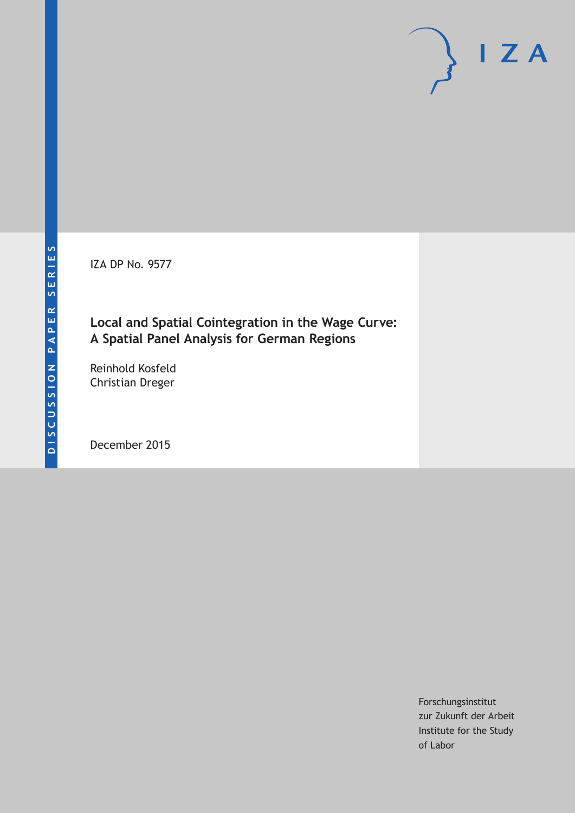IZA DP No. 9577

## **Local and Spatial Cointegration in the Wage Curve: A Spatial Panel Analysis for German Regions**

Reinhold Kosfeld Christian Dreger

December 2015

Forschungsinstitut zur Zukunft der Arbeit Institute for the Study of Labor

 $I Z A$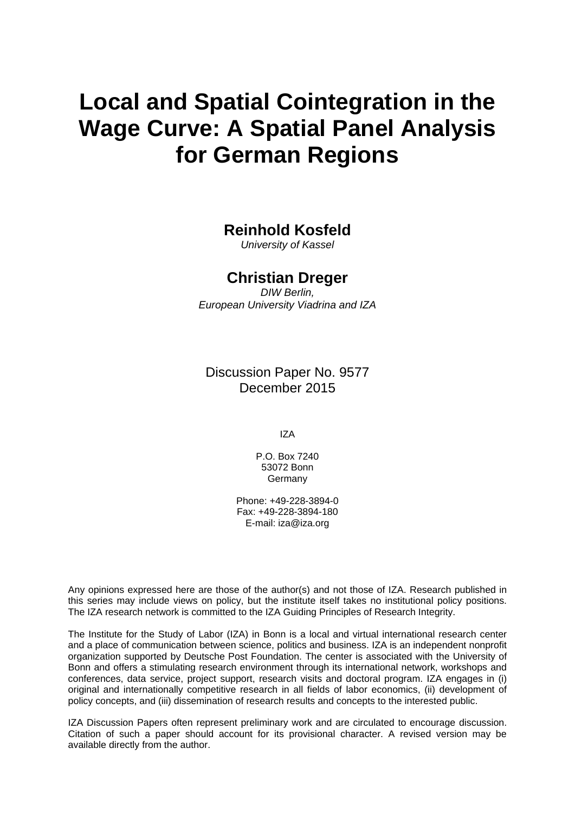# **Local and Spatial Cointegration in the Wage Curve: A Spatial Panel Analysis for German Regions**

## **Reinhold Kosfeld**

*University of Kassel* 

### **Christian Dreger**

*DIW Berlin, European University Viadrina and IZA* 

Discussion Paper No. 9577 December 2015

IZA

P.O. Box 7240 53072 Bonn Germany

Phone: +49-228-3894-0 Fax: +49-228-3894-180 E-mail: iza@iza.org

Any opinions expressed here are those of the author(s) and not those of IZA. Research published in this series may include views on policy, but the institute itself takes no institutional policy positions. The IZA research network is committed to the IZA Guiding Principles of Research Integrity.

The Institute for the Study of Labor (IZA) in Bonn is a local and virtual international research center and a place of communication between science, politics and business. IZA is an independent nonprofit organization supported by Deutsche Post Foundation. The center is associated with the University of Bonn and offers a stimulating research environment through its international network, workshops and conferences, data service, project support, research visits and doctoral program. IZA engages in (i) original and internationally competitive research in all fields of labor economics, (ii) development of policy concepts, and (iii) dissemination of research results and concepts to the interested public.

IZA Discussion Papers often represent preliminary work and are circulated to encourage discussion. Citation of such a paper should account for its provisional character. A revised version may be available directly from the author.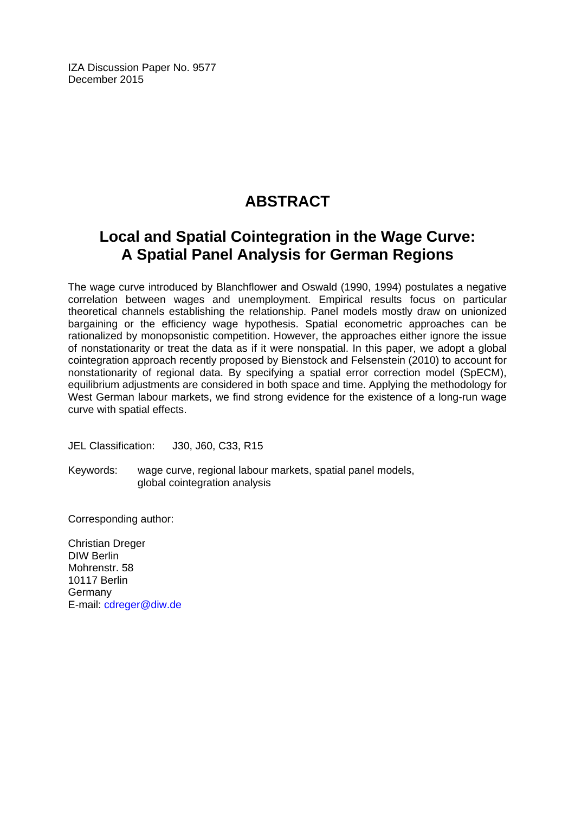IZA Discussion Paper No. 9577 December 2015

# **ABSTRACT**

# **Local and Spatial Cointegration in the Wage Curve: A Spatial Panel Analysis for German Regions**

The wage curve introduced by Blanchflower and Oswald (1990, 1994) postulates a negative correlation between wages and unemployment. Empirical results focus on particular theoretical channels establishing the relationship. Panel models mostly draw on unionized bargaining or the efficiency wage hypothesis. Spatial econometric approaches can be rationalized by monopsonistic competition. However, the approaches either ignore the issue of nonstationarity or treat the data as if it were nonspatial. In this paper, we adopt a global cointegration approach recently proposed by Bienstock and Felsenstein (2010) to account for nonstationarity of regional data. By specifying a spatial error correction model (SpECM), equilibrium adjustments are considered in both space and time. Applying the methodology for West German labour markets, we find strong evidence for the existence of a long-run wage curve with spatial effects.

JEL Classification: J30, J60, C33, R15

Keywords: wage curve, regional labour markets, spatial panel models, global cointegration analysis

Corresponding author:

Christian Dreger DIW Berlin Mohrenstr. 58 10117 Berlin Germany E-mail: cdreger@diw.de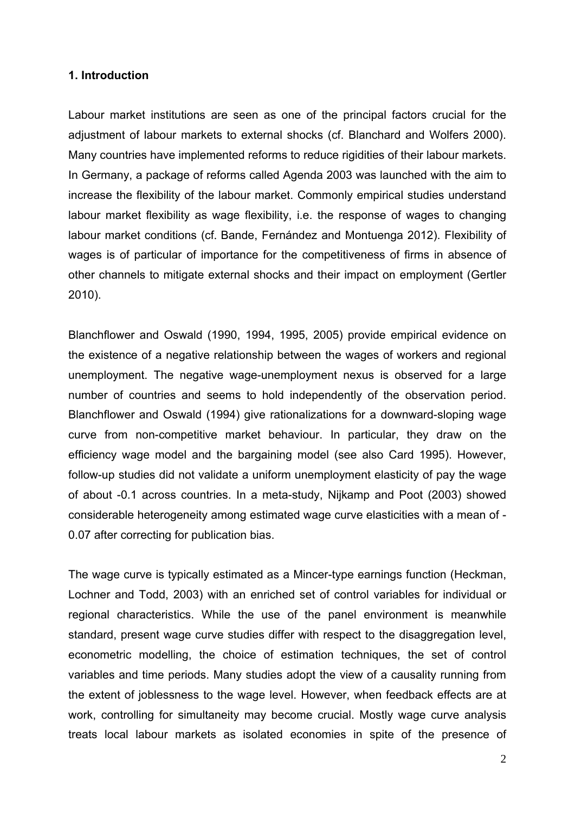#### **1. Introduction**

Labour market institutions are seen as one of the principal factors crucial for the adjustment of labour markets to external shocks (cf. Blanchard and Wolfers 2000). Many countries have implemented reforms to reduce rigidities of their labour markets. In Germany, a package of reforms called Agenda 2003 was launched with the aim to increase the flexibility of the labour market. Commonly empirical studies understand labour market flexibility as wage flexibility, i.e. the response of wages to changing labour market conditions (cf. Bande, Fernández and Montuenga 2012). Flexibility of wages is of particular of importance for the competitiveness of firms in absence of other channels to mitigate external shocks and their impact on employment (Gertler 2010).

Blanchflower and Oswald (1990, 1994, 1995, 2005) provide empirical evidence on the existence of a negative relationship between the wages of workers and regional unemployment. The negative wage-unemployment nexus is observed for a large number of countries and seems to hold independently of the observation period. Blanchflower and Oswald (1994) give rationalizations for a downward-sloping wage curve from non-competitive market behaviour. In particular, they draw on the efficiency wage model and the bargaining model (see also Card 1995). However, follow-up studies did not validate a uniform unemployment elasticity of pay the wage of about -0.1 across countries. In a meta-study, Nijkamp and Poot (2003) showed considerable heterogeneity among estimated wage curve elasticities with a mean of - 0.07 after correcting for publication bias.

The wage curve is typically estimated as a Mincer-type earnings function (Heckman, Lochner and Todd, 2003) with an enriched set of control variables for individual or regional characteristics. While the use of the panel environment is meanwhile standard, present wage curve studies differ with respect to the disaggregation level, econometric modelling, the choice of estimation techniques, the set of control variables and time periods. Many studies adopt the view of a causality running from the extent of joblessness to the wage level. However, when feedback effects are at work, controlling for simultaneity may become crucial. Mostly wage curve analysis treats local labour markets as isolated economies in spite of the presence of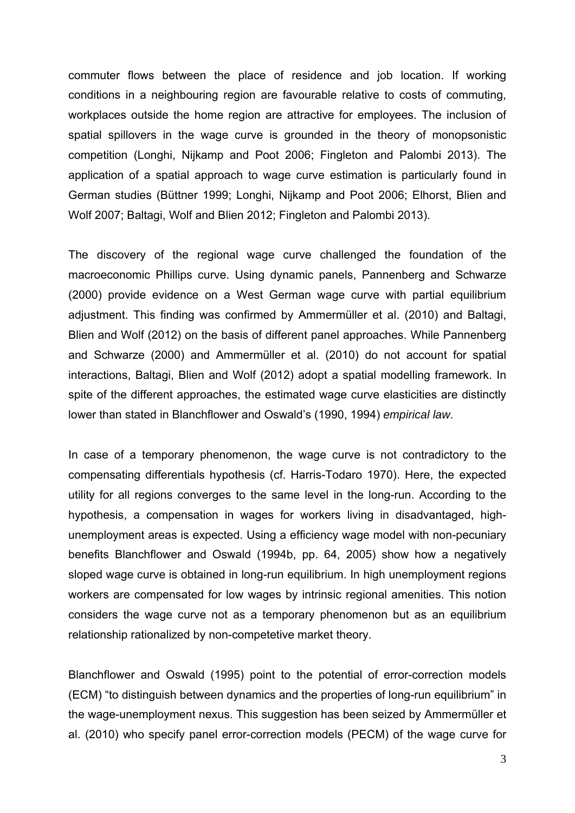commuter flows between the place of residence and job location. If working conditions in a neighbouring region are favourable relative to costs of commuting, workplaces outside the home region are attractive for employees. The inclusion of spatial spillovers in the wage curve is grounded in the theory of monopsonistic competition (Longhi, Nijkamp and Poot 2006; Fingleton and Palombi 2013). The application of a spatial approach to wage curve estimation is particularly found in German studies (Büttner 1999; Longhi, Nijkamp and Poot 2006; Elhorst, Blien and Wolf 2007; Baltagi, Wolf and Blien 2012; Fingleton and Palombi 2013).

The discovery of the regional wage curve challenged the foundation of the macroeconomic Phillips curve. Using dynamic panels, Pannenberg and Schwarze (2000) provide evidence on a West German wage curve with partial equilibrium adjustment. This finding was confirmed by Ammermüller et al. (2010) and Baltagi, Blien and Wolf (2012) on the basis of different panel approaches. While Pannenberg and Schwarze (2000) and Ammermüller et al. (2010) do not account for spatial interactions, Baltagi, Blien and Wolf (2012) adopt a spatial modelling framework. In spite of the different approaches, the estimated wage curve elasticities are distinctly lower than stated in Blanchflower and Oswald's (1990, 1994) *empirical law*.

In case of a temporary phenomenon, the wage curve is not contradictory to the compensating differentials hypothesis (cf. Harris-Todaro 1970). Here, the expected utility for all regions converges to the same level in the long-run. According to the hypothesis, a compensation in wages for workers living in disadvantaged, highunemployment areas is expected. Using a efficiency wage model with non-pecuniary benefits Blanchflower and Oswald (1994b, pp. 64, 2005) show how a negatively sloped wage curve is obtained in long-run equilibrium. In high unemployment regions workers are compensated for low wages by intrinsic regional amenities. This notion considers the wage curve not as a temporary phenomenon but as an equilibrium relationship rationalized by non-competetive market theory.

Blanchflower and Oswald (1995) point to the potential of error-correction models (ECM) "to distinguish between dynamics and the properties of long-run equilibrium" in the wage-unemployment nexus. This suggestion has been seized by Ammermüller et al. (2010) who specify panel error-correction models (PECM) of the wage curve for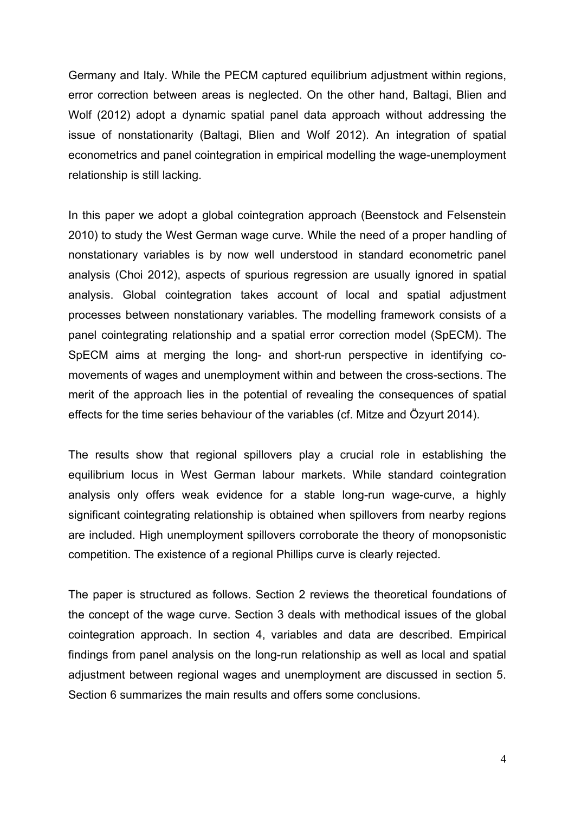Germany and Italy. While the PECM captured equilibrium adjustment within regions, error correction between areas is neglected. On the other hand, Baltagi, Blien and Wolf (2012) adopt a dynamic spatial panel data approach without addressing the issue of nonstationarity (Baltagi, Blien and Wolf 2012). An integration of spatial econometrics and panel cointegration in empirical modelling the wage-unemployment relationship is still lacking.

In this paper we adopt a global cointegration approach (Beenstock and Felsenstein 2010) to study the West German wage curve. While the need of a proper handling of nonstationary variables is by now well understood in standard econometric panel analysis (Choi 2012), aspects of spurious regression are usually ignored in spatial analysis. Global cointegration takes account of local and spatial adjustment processes between nonstationary variables. The modelling framework consists of a panel cointegrating relationship and a spatial error correction model (SpECM). The SpECM aims at merging the long- and short-run perspective in identifying comovements of wages and unemployment within and between the cross-sections. The merit of the approach lies in the potential of revealing the consequences of spatial effects for the time series behaviour of the variables (cf. Mitze and Özyurt 2014).

The results show that regional spillovers play a crucial role in establishing the equilibrium locus in West German labour markets. While standard cointegration analysis only offers weak evidence for a stable long-run wage-curve, a highly significant cointegrating relationship is obtained when spillovers from nearby regions are included. High unemployment spillovers corroborate the theory of monopsonistic competition. The existence of a regional Phillips curve is clearly rejected.

The paper is structured as follows. Section 2 reviews the theoretical foundations of the concept of the wage curve. Section 3 deals with methodical issues of the global cointegration approach. In section 4, variables and data are described. Empirical findings from panel analysis on the long-run relationship as well as local and spatial adjustment between regional wages and unemployment are discussed in section 5. Section 6 summarizes the main results and offers some conclusions.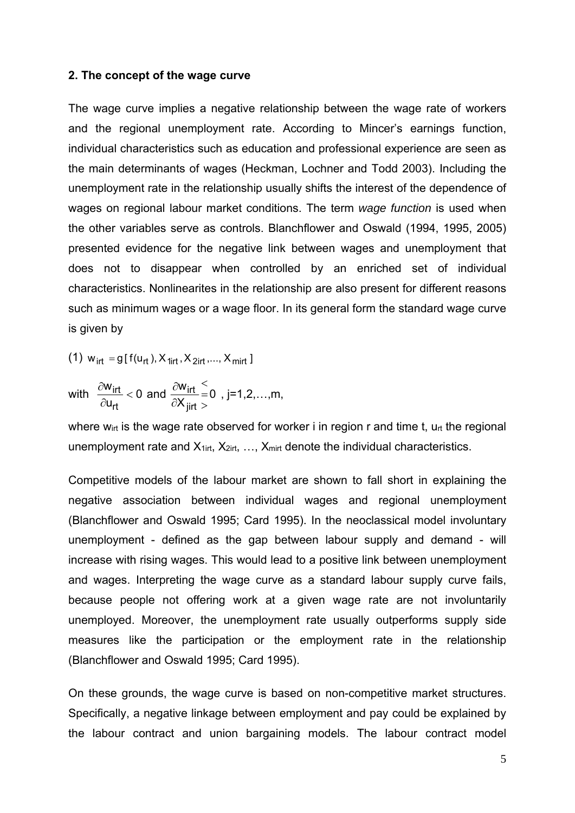#### **2. The concept of the wage curve**

The wage curve implies a negative relationship between the wage rate of workers and the regional unemployment rate. According to Mincer's earnings function, individual characteristics such as education and professional experience are seen as the main determinants of wages (Heckman, Lochner and Todd 2003). Including the unemployment rate in the relationship usually shifts the interest of the dependence of wages on regional labour market conditions. The term *wage function* is used when the other variables serve as controls. Blanchflower and Oswald (1994, 1995, 2005) presented evidence for the negative link between wages and unemployment that does not to disappear when controlled by an enriched set of individual characteristics. Nonlinearites in the relationship are also present for different reasons such as minimum wages or a wage floor. In its general form the standard wage curve is given by

(1)  $W_{\text{irt}} = g[f(u_{\text{rt}}), X_{\text{airt}}, X_{\text{2irt}}, ..., X_{\text{mirt}}]$ 

with 
$$
\frac{\partial w_{irt}}{\partial u_{rt}} < 0
$$
 and  $\frac{\partial w_{irt}}{\partial X_{jirt}} = 0$ , j=1,2,...,m,

where  $w_{\text{int}}$  is the wage rate observed for worker i in region r and time t,  $u_{\text{rt}}$  the regional unemployment rate and  $X_{1irt}$ ,  $X_{2irt}$ , ...,  $X_{mit}$  denote the individual characteristics.

Competitive models of the labour market are shown to fall short in explaining the negative association between individual wages and regional unemployment (Blanchflower and Oswald 1995; Card 1995). In the neoclassical model involuntary unemployment - defined as the gap between labour supply and demand - will increase with rising wages. This would lead to a positive link between unemployment and wages. Interpreting the wage curve as a standard labour supply curve fails, because people not offering work at a given wage rate are not involuntarily unemployed. Moreover, the unemployment rate usually outperforms supply side measures like the participation or the employment rate in the relationship (Blanchflower and Oswald 1995; Card 1995).

On these grounds, the wage curve is based on non-competitive market structures. Specifically, a negative linkage between employment and pay could be explained by the labour contract and union bargaining models. The labour contract model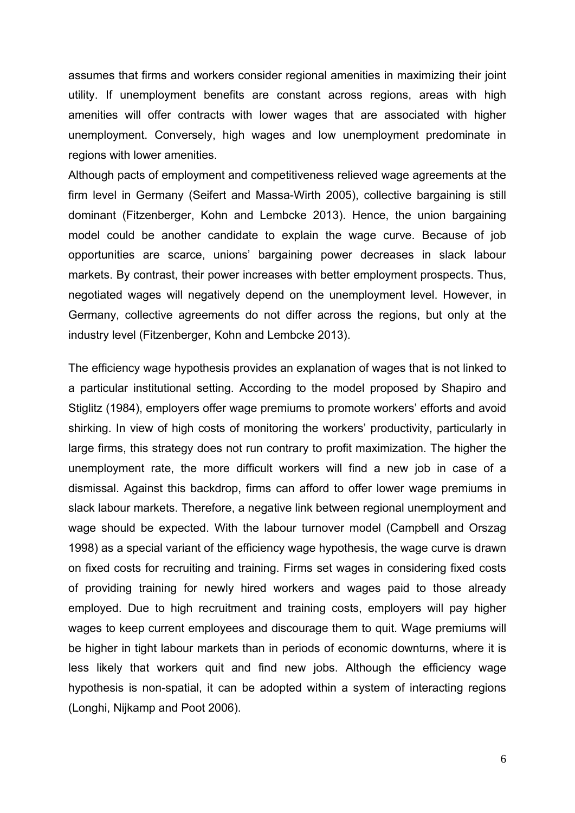assumes that firms and workers consider regional amenities in maximizing their joint utility. If unemployment benefits are constant across regions, areas with high amenities will offer contracts with lower wages that are associated with higher unemployment. Conversely, high wages and low unemployment predominate in regions with lower amenities.

Although pacts of employment and competitiveness relieved wage agreements at the firm level in Germany (Seifert and Massa-Wirth 2005), collective bargaining is still dominant (Fitzenberger, Kohn and Lembcke 2013). Hence, the union bargaining model could be another candidate to explain the wage curve. Because of job opportunities are scarce, unions' bargaining power decreases in slack labour markets. By contrast, their power increases with better employment prospects. Thus, negotiated wages will negatively depend on the unemployment level. However, in Germany, collective agreements do not differ across the regions, but only at the industry level (Fitzenberger, Kohn and Lembcke 2013).

The efficiency wage hypothesis provides an explanation of wages that is not linked to a particular institutional setting. According to the model proposed by Shapiro and Stiglitz (1984), employers offer wage premiums to promote workers' efforts and avoid shirking. In view of high costs of monitoring the workers' productivity, particularly in large firms, this strategy does not run contrary to profit maximization. The higher the unemployment rate, the more difficult workers will find a new job in case of a dismissal. Against this backdrop, firms can afford to offer lower wage premiums in slack labour markets. Therefore, a negative link between regional unemployment and wage should be expected. With the labour turnover model (Campbell and Orszag 1998) as a special variant of the efficiency wage hypothesis, the wage curve is drawn on fixed costs for recruiting and training. Firms set wages in considering fixed costs of providing training for newly hired workers and wages paid to those already employed. Due to high recruitment and training costs, employers will pay higher wages to keep current employees and discourage them to quit. Wage premiums will be higher in tight labour markets than in periods of economic downturns, where it is less likely that workers quit and find new jobs. Although the efficiency wage hypothesis is non-spatial, it can be adopted within a system of interacting regions (Longhi, Nijkamp and Poot 2006).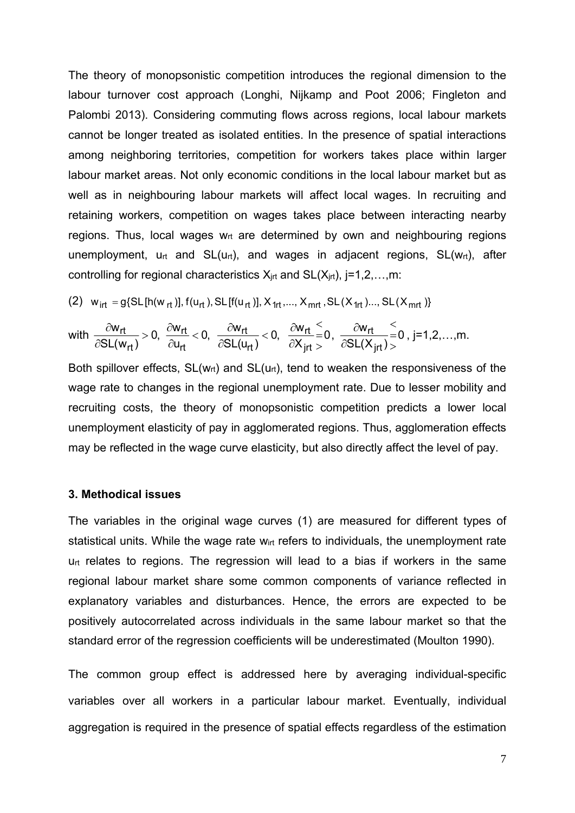The theory of monopsonistic competition introduces the regional dimension to the labour turnover cost approach (Longhi, Nijkamp and Poot 2006; Fingleton and Palombi 2013). Considering commuting flows across regions, local labour markets cannot be longer treated as isolated entities. In the presence of spatial interactions among neighboring territories, competition for workers takes place within larger labour market areas. Not only economic conditions in the local labour market but as well as in neighbouring labour markets will affect local wages. In recruiting and retaining workers, competition on wages takes place between interacting nearby regions. Thus, local wages  $w<sub>rt</sub>$  are determined by own and neighbouring regions unemployment,  $u_{rt}$  and  $SL(u_{rt})$ , and wages in adjacent regions,  $SL(w_{rt})$ , after controlling for regional characteristics  $X_{int}$  and  $SL(X_{int})$ , j=1,2,...,m:

(2) 
$$
w_{\text{irt}} = g\{SL[\text{h}(w_{\text{rt}})]\text{, } f(u_{\text{rt}}), SL[\text{f}(u_{\text{rt}})]\text{, } X_{\text{1rt}}, ..., X_{\text{mrt}}\text{, } SL(X_{\text{1rt}})\text{, } ... \text{, } SL(X_{\text{mrt}})\}
$$

$$
\text{with } \frac{\partial w_{rt}}{\partial SL(w_{rt})}>0, \ \frac{\partial w_{rt}}{\partial u_{rt}}<0, \ \ \frac{\partial w_{rt}}{\partial SL(u_{rt})}<0, \ \ \frac{\partial w_{rt}}{\partial X_{jrt}}\frac{<}{>}0, \ \ \frac{\partial w_{rt}}{\partial SL(X_{jrt})}>0, j=1,2,\ldots,m.
$$

Both spillover effects,  $SL(w_{rt})$  and  $SL(u_{rt})$ , tend to weaken the responsiveness of the wage rate to changes in the regional unemployment rate. Due to lesser mobility and recruiting costs, the theory of monopsonistic competition predicts a lower local unemployment elasticity of pay in agglomerated regions. Thus, agglomeration effects may be reflected in the wage curve elasticity, but also directly affect the level of pay.

#### **3. Methodical issues**

The variables in the original wage curves (1) are measured for different types of statistical units. While the wage rate w<sub>irt</sub> refers to individuals, the unemployment rate  $u_{rt}$  relates to regions. The regression will lead to a bias if workers in the same regional labour market share some common components of variance reflected in explanatory variables and disturbances. Hence, the errors are expected to be positively autocorrelated across individuals in the same labour market so that the standard error of the regression coefficients will be underestimated (Moulton 1990).

The common group effect is addressed here by averaging individual-specific variables over all workers in a particular labour market. Eventually, individual aggregation is required in the presence of spatial effects regardless of the estimation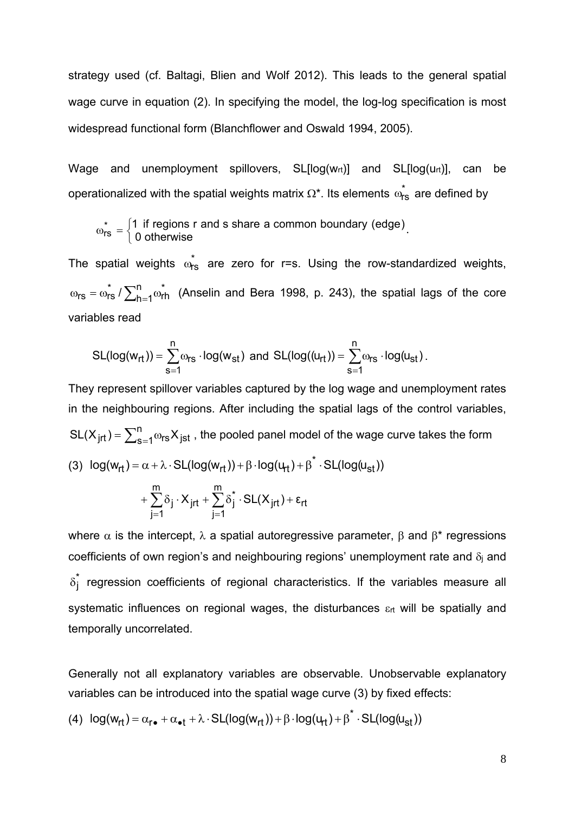strategy used (cf. Baltagi, Blien and Wolf 2012). This leads to the general spatial wage curve in equation (2). In specifying the model, the log-log specification is most widespread functional form (Blanchflower and Oswald 1994, 2005).

Wage and unemployment spillovers,  $SL[log(w_{rt})]$  and  $SL[log(u_{rt})]$ , can be operationalized with the spatial weights matrix  $\Omega^*$ . Its elements  $\omega_{\text{rs}}^*$  are defined by

$$
\omega_{\text{rs}}^* = \begin{cases} 1 \text{ if regions r and s share a common boundary (edge)} \\ 0 \text{ otherwise} \end{cases}.
$$

The spatial weights  $\dot{\omega}_{rs}$  are zero for r=s. Using the row-standardized weights,  $\omega_{rs} = \omega_{rs}^* / \sum_{h=1}^n \omega$  $h = 1$  $r_s = \omega_{rs}^* / \sum_{h=1}^n \omega_{rh}^*$  (Anselin and Bera 1998, p. 243), the spatial lags of the core variables read

$$
SL(log(w_{rt})) = \sum_{s=1}^{n} \omega_{rs} \cdot log(w_{st}) \text{ and } SL(log((u_{rt})) = \sum_{s=1}^{n} \omega_{rs} \cdot log(u_{st}).
$$

They represent spillover variables captured by the log wage and unemployment rates in the neighbouring regions. After including the spatial lags of the control variables, SL(X<sub>jrt</sub>) =  $\sum_{s=1}^{n} \omega_{rs} X_{jst}$  , the pooled panel model of the wage curve takes the form (3)  $log(w_{rt}) = \alpha + \lambda \cdot SL(log(w_{rt})) + \beta \cdot log(u_{rt}) + \beta^* \cdot SL(log(u_{st}))$  $r+\sum \delta_j \cdot X_{jrt} + \sum \delta_j \cdot SL(X_{jrt}) + \epsilon_{rt}$ m  $j = 1$  $\sum_{i=1}^{m} \delta_i \cdot X_{jrt} + \sum_{i=1}^{m} \delta_i \cdot SL(X_{jrt})$  $j = 1$  $+\sum\limits_{} \delta_{\textbf{j}} \cdot \bm{\mathsf{X}}_{\mathsf{jrt}} + \sum\limits_{} \delta_{\textbf{j}}^* \cdot \textsf{SL}(\bm{\mathsf{X}}_{\mathsf{jrt}}) + \bm{\epsilon}$  $=1$   $j=$ 

where  $\alpha$  is the intercept,  $\lambda$  a spatial autoregressive parameter,  $\beta$  and  $\beta^*$  regressions coefficients of own region's and neighbouring regions' unemployment rate and  $\delta_i$  and  $\delta_{\rm j}^{*}$  regression coefficients of regional characteristics. If the variables measure all systematic influences on regional wages, the disturbances  $\varepsilon_{rt}$  will be spatially and temporally uncorrelated.

Generally not all explanatory variables are observable. Unobservable explanatory variables can be introduced into the spatial wage curve (3) by fixed effects:

$$
(4) \ \ log(w_{rt}) = \alpha_{r \bullet} + \alpha_{\bullet t} + \lambda \cdot SL(log(w_{rt})) + \beta \cdot log(u_{rt}) + \beta^{*} \cdot SL(log(u_{st}))
$$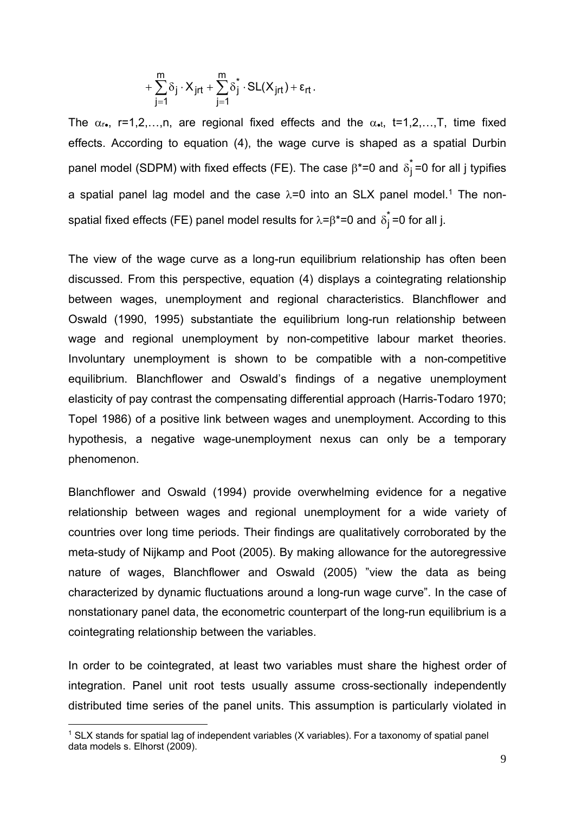$$
+\sum_{j=1}^m \delta_j \cdot X_{jrt} + \sum_{j=1}^m \delta_j^* \cdot SL(X_{jrt}) + \epsilon_{rt}.
$$

The  $\alpha_{r}$ , r=1,2,…,n, are regional fixed effects and the  $\alpha_{r}$ , t=1,2,…,T, time fixed effects. According to equation (4), the wage curve is shaped as a spatial Durbin panel model (SDPM) with fixed effects (FE). The case  $\beta^*$ =0 and  $\delta_j^*$ =0 for all j typifies a spatial panel lag model and the case  $\lambda$ =0 into an SLX panel model.<sup>1</sup> The nonspatial fixed effects (FE) panel model results for  $\lambda = \beta^* = 0$  and  $\delta_j^* = 0$  for all j.

The view of the wage curve as a long-run equilibrium relationship has often been discussed. From this perspective, equation (4) displays a cointegrating relationship between wages, unemployment and regional characteristics. Blanchflower and Oswald (1990, 1995) substantiate the equilibrium long-run relationship between wage and regional unemployment by non-competitive labour market theories. Involuntary unemployment is shown to be compatible with a non-competitive equilibrium. Blanchflower and Oswald's findings of a negative unemployment elasticity of pay contrast the compensating differential approach (Harris-Todaro 1970; Topel 1986) of a positive link between wages and unemployment. According to this hypothesis, a negative wage-unemployment nexus can only be a temporary phenomenon.

Blanchflower and Oswald (1994) provide overwhelming evidence for a negative relationship between wages and regional unemployment for a wide variety of countries over long time periods. Their findings are qualitatively corroborated by the meta-study of Nijkamp and Poot (2005). By making allowance for the autoregressive nature of wages, Blanchflower and Oswald (2005) "view the data as being characterized by dynamic fluctuations around a long-run wage curve". In the case of nonstationary panel data, the econometric counterpart of the long-run equilibrium is a cointegrating relationship between the variables.

In order to be cointegrated, at least two variables must share the highest order of integration. Panel unit root tests usually assume cross-sectionally independently distributed time series of the panel units. This assumption is particularly violated in

<u>.</u>

<sup>&</sup>lt;sup>1</sup> SLX stands for spatial lag of independent variables (X variables). For a taxonomy of spatial panel data models s. Elhorst (2009).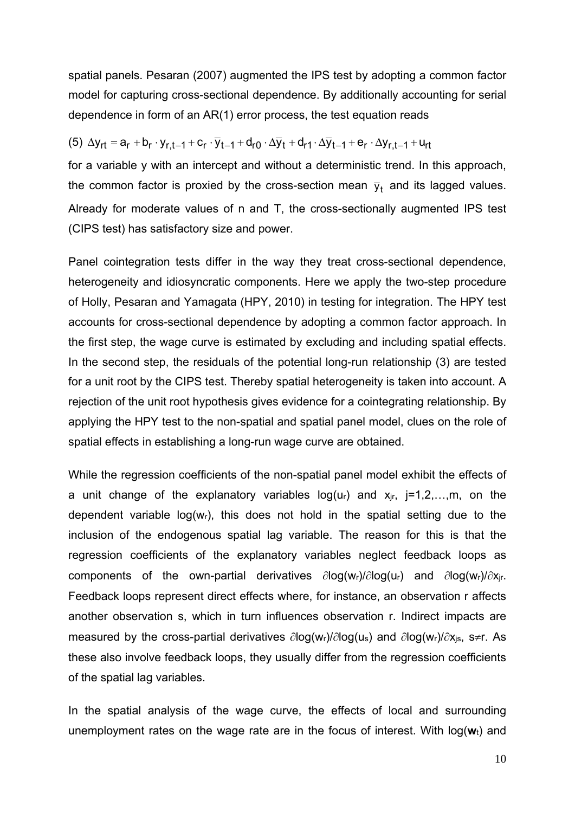spatial panels. Pesaran (2007) augmented the IPS test by adopting a common factor model for capturing cross-sectional dependence. By additionally accounting for serial dependence in form of an AR(1) error process, the test equation reads

$$
(5) \Delta y_{rt} = a_r + b_r \cdot y_{r,t-1} + c_r \cdot \overline{y}_{t-1} + d_{r0} \cdot \Delta \overline{y}_t + d_{r1} \cdot \Delta \overline{y}_{t-1} + e_r \cdot \Delta y_{r,t-1} + u_{rt}
$$

for a variable y with an intercept and without a deterministic trend. In this approach, the common factor is proxied by the cross-section mean  $\bar{y}_t$  and its lagged values. Already for moderate values of n and T, the cross-sectionally augmented IPS test (CIPS test) has satisfactory size and power.

Panel cointegration tests differ in the way they treat cross-sectional dependence, heterogeneity and idiosyncratic components. Here we apply the two-step procedure of Holly, Pesaran and Yamagata (HPY, 2010) in testing for integration. The HPY test accounts for cross-sectional dependence by adopting a common factor approach. In the first step, the wage curve is estimated by excluding and including spatial effects. In the second step, the residuals of the potential long-run relationship (3) are tested for a unit root by the CIPS test. Thereby spatial heterogeneity is taken into account. A rejection of the unit root hypothesis gives evidence for a cointegrating relationship. By applying the HPY test to the non-spatial and spatial panel model, clues on the role of spatial effects in establishing a long-run wage curve are obtained.

While the regression coefficients of the non-spatial panel model exhibit the effects of a unit change of the explanatory variables  $log(u_r)$  and  $x_{ir}$ ,  $j=1,2,...,m$ , on the dependent variable  $log(w<sub>r</sub>)$ , this does not hold in the spatial setting due to the inclusion of the endogenous spatial lag variable. The reason for this is that the regression coefficients of the explanatory variables neglect feedback loops as components of the own-partial derivatives  $\partial \log(w_r)/\partial \log(u_r)$  and  $\partial \log(w_r)/\partial x_{ir}$ . Feedback loops represent direct effects where, for instance, an observation r affects another observation s, which in turn influences observation r. Indirect impacts are measured by the cross-partial derivatives  $\partial log(w_r)/\partial log(u_s)$  and  $\partial log(w_r)/\partial x_{is}$ , s≠r. As these also involve feedback loops, they usually differ from the regression coefficients of the spatial lag variables.

In the spatial analysis of the wage curve, the effects of local and surrounding unemployment rates on the wage rate are in the focus of interest. With log(**w**t) and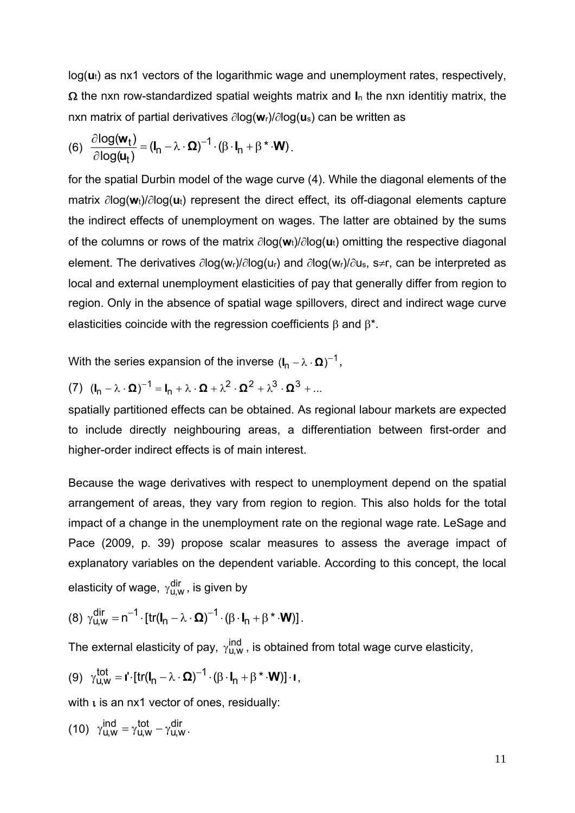log(**u**t) as nx1 vectors of the logarithmic wage and unemployment rates, respectively,  $\Omega$  the nxn row-standardized spatial weights matrix and  $I_n$  the nxn identitiy matrix, the nxn matrix of partial derivatives  $\partial$ log( $w_l$ )/ $\partial$ log( $u_s$ ) can be written as

(6) 
$$
\frac{\partial \log(\mathbf{w}_t)}{\partial \log(\mathbf{u}_t)} = (\mathbf{I}_n - \lambda \cdot \mathbf{\Omega})^{-1} \cdot (\beta \cdot \mathbf{I}_n + \beta^* \cdot \mathbf{W}).
$$

for the spatial Durbin model of the wage curve (4). While the diagonal elements of the matrix  $\partial \text{log}(w_t)/\partial \text{log}(u_t)$  represent the direct effect, its off-diagonal elements capture the indirect effects of unemployment on wages. The latter are obtained by the sums of the columns or rows of the matrix  $\partial \log(w_t)/\partial \log(u_t)$  omitting the respective diagonal element. The derivatives  $\partial \log(w_r)/\partial \log(u_r)$  and  $\partial \log(w_r)/\partial u_s$ , s≠r, can be interpreted as local and external unemployment elasticities of pay that generally differ from region to region. Only in the absence of spatial wage spillovers, direct and indirect wage curve elasticities coincide with the regression coefficients  $\beta$  and  $\beta^*$ .

With the series expansion of the inverse  $(I_n - \lambda \cdot \Omega)^{-1}$ ,

(7) 
$$
(\mathbf{I}_n - \lambda \cdot \mathbf{\Omega})^{-1} = \mathbf{I}_n + \lambda \cdot \mathbf{\Omega} + \lambda^2 \cdot \mathbf{\Omega}^2 + \lambda^3 \cdot \mathbf{\Omega}^3 + \dots
$$

spatially partitioned effects can be obtained. As regional labour markets are expected to include directly neighbouring areas, a differentiation between first-order and higher-order indirect effects is of main interest.

Because the wage derivatives with respect to unemployment depend on the spatial arrangement of areas, they vary from region to region. This also holds for the total impact of a change in the unemployment rate on the regional wage rate. LeSage and Pace (2009, p. 39) propose scalar measures to assess the average impact of explanatory variables on the dependent variable. According to this concept, the local elasticity of wage,  $\gamma_{u,w}^{\text{dir}}$ , is given by

(8) 
$$
\gamma_{u,w}^{dir} = n^{-1} \cdot [tr(I_n - \lambda \cdot \Omega)^{-1} \cdot (\beta \cdot I_n + \beta^* \cdot W)].
$$

The external elasticity of pay,  $\gamma_{U,W}^{ind}$ , is obtained from total wage curve elasticity,

$$
(9) \gamma_{U,W}^{tot} = \mathbf{I}' \cdot [\text{tr}(\mathbf{I}_n - \lambda \cdot \mathbf{\Omega})^{-1} \cdot (\beta \cdot \mathbf{I}_n + \beta^* \cdot \mathbf{W})] \cdot \mathbf{I},
$$

with  $\iota$  is an nx1 vector of ones, residually:

(10) 
$$
\gamma_{u,w}^{ind} = \gamma_{u,w}^{tot} - \gamma_{u,w}^{dir}.
$$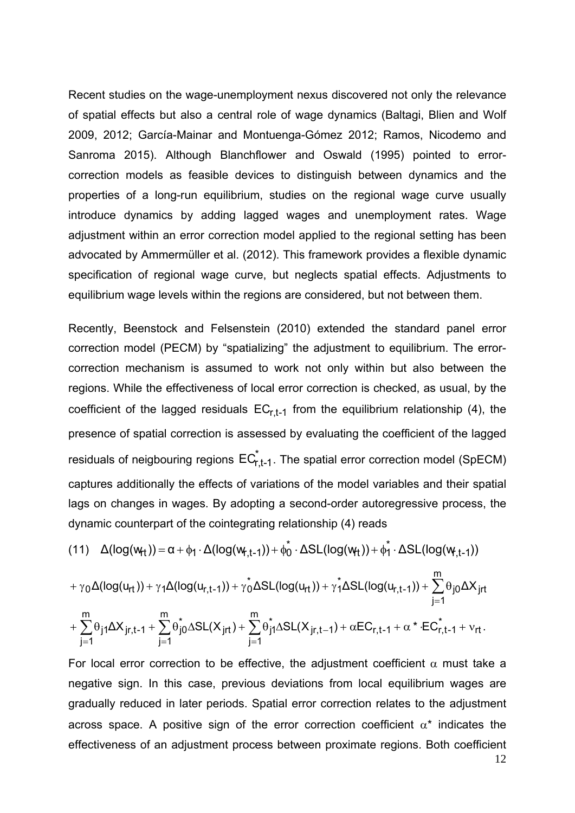Recent studies on the wage-unemployment nexus discovered not only the relevance of spatial effects but also a central role of wage dynamics (Baltagi, Blien and Wolf 2009, 2012; García-Mainar and Montuenga-Gómez 2012; Ramos, Nicodemo and Sanroma 2015). Although Blanchflower and Oswald (1995) pointed to errorcorrection models as feasible devices to distinguish between dynamics and the properties of a long-run equilibrium, studies on the regional wage curve usually introduce dynamics by adding lagged wages and unemployment rates. Wage adjustment within an error correction model applied to the regional setting has been advocated by Ammermüller et al. (2012). This framework provides a flexible dynamic specification of regional wage curve, but neglects spatial effects. Adjustments to equilibrium wage levels within the regions are considered, but not between them.

Recently, Beenstock and Felsenstein (2010) extended the standard panel error correction model (PECM) by "spatializing" the adjustment to equilibrium. The errorcorrection mechanism is assumed to work not only within but also between the regions. While the effectiveness of local error correction is checked, as usual, by the coefficient of the lagged residuals  $EC_{r,t-1}$  from the equilibrium relationship (4), the presence of spatial correction is assessed by evaluating the coefficient of the lagged residuals of neigbouring regions  $EC_{r,t-1}^*$ . The spatial error correction model (SpECM) captures additionally the effects of variations of the model variables and their spatial lags on changes in wages. By adopting a second-order autoregressive process, the dynamic counterpart of the cointegrating relationship (4) reads

$$
(11)\quad \Delta(log(w_{\!f\!t})) = \alpha + \varphi_1 \cdot \Delta(log(w_{\!f\!f\!f\!f\!f}) ) + \varphi_0^* \cdot \Delta SL(log(w_{\!f\!f})) + \varphi_1^* \cdot \Delta SL(log(w_{\!f\!f\!f\!f\!f}) )
$$

$$
+ \gamma_0 \Delta(log(u_{rt})) + \gamma_1 \Delta(log(u_{r,t-1})) + \gamma_0^* \Delta SL(log(u_{rt})) + \gamma_1^* \Delta SL(log(u_{r,t-1})) + \sum_{j=1}^m \theta_{j0} \Delta X_{jrt}
$$
  
+ 
$$
\sum_{j=1}^m \theta_{j1} \Delta X_{jr,t-1} + \sum_{j=1}^m \theta_{j0}^* \Delta SL(X_{jrt}) + \sum_{j=1}^m \theta_{j1}^* \Delta SL(X_{jr,t-1}) + \alpha EC_{r,t-1} + \alpha^* \cdot EC_{r,t-1}^* + v_{rt}.
$$

12 For local error correction to be effective, the adjustment coefficient  $\alpha$  must take a negative sign. In this case, previous deviations from local equilibrium wages are gradually reduced in later periods. Spatial error correction relates to the adjustment across space. A positive sign of the error correction coefficient  $\alpha^*$  indicates the effectiveness of an adjustment process between proximate regions. Both coefficient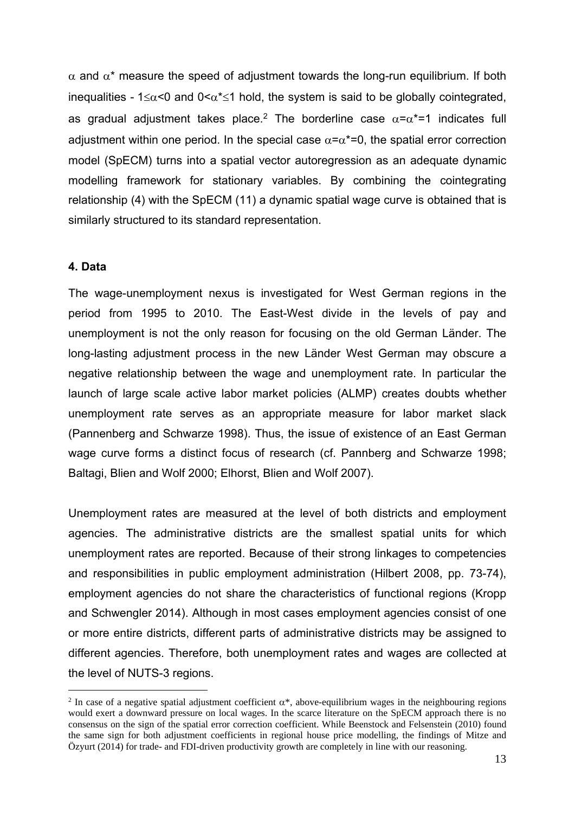$\alpha$  and  $\alpha^*$  measure the speed of adjustment towards the long-run equilibrium. If both inequalities -  $1 \le \alpha \le 0$  and  $0 \le \alpha^* \le 1$  hold, the system is said to be globally cointegrated, as gradual adjustment takes place.<sup>2</sup> The borderline case  $\alpha = \alpha^* = 1$  indicates full adjustment within one period. In the special case  $\alpha = \alpha^* = 0$ , the spatial error correction model (SpECM) turns into a spatial vector autoregression as an adequate dynamic modelling framework for stationary variables. By combining the cointegrating relationship (4) with the SpECM (11) a dynamic spatial wage curve is obtained that is similarly structured to its standard representation.

#### **4. Data**

<u>.</u>

The wage-unemployment nexus is investigated for West German regions in the period from 1995 to 2010. The East-West divide in the levels of pay and unemployment is not the only reason for focusing on the old German Länder. The long-lasting adjustment process in the new Länder West German may obscure a negative relationship between the wage and unemployment rate. In particular the launch of large scale active labor market policies (ALMP) creates doubts whether unemployment rate serves as an appropriate measure for labor market slack (Pannenberg and Schwarze 1998). Thus, the issue of existence of an East German wage curve forms a distinct focus of research (cf. Pannberg and Schwarze 1998; Baltagi, Blien and Wolf 2000; Elhorst, Blien and Wolf 2007).

Unemployment rates are measured at the level of both districts and employment agencies. The administrative districts are the smallest spatial units for which unemployment rates are reported. Because of their strong linkages to competencies and responsibilities in public employment administration (Hilbert 2008, pp. 73-74), employment agencies do not share the characteristics of functional regions (Kropp and Schwengler 2014). Although in most cases employment agencies consist of one or more entire districts, different parts of administrative districts may be assigned to different agencies. Therefore, both unemployment rates and wages are collected at the level of NUTS-3 regions.

<sup>&</sup>lt;sup>2</sup> In case of a negative spatial adjustment coefficient  $\alpha^*$ , above-equilibrium wages in the neighbouring regions would exert a downward pressure on local wages. In the scarce literature on the SpECM approach there is no consensus on the sign of the spatial error correction coefficient. While Beenstock and Felsenstein (2010) found the same sign for both adjustment coefficients in regional house price modelling, the findings of Mitze and Özyurt (2014) for trade- and FDI-driven productivity growth are completely in line with our reasoning.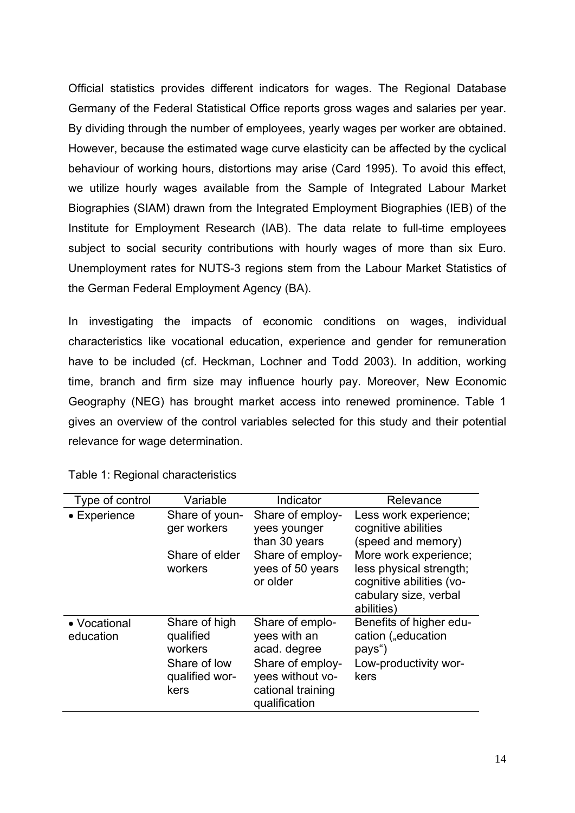Official statistics provides different indicators for wages. The Regional Database Germany of the Federal Statistical Office reports gross wages and salaries per year. By dividing through the number of employees, yearly wages per worker are obtained. However, because the estimated wage curve elasticity can be affected by the cyclical behaviour of working hours, distortions may arise (Card 1995). To avoid this effect, we utilize hourly wages available from the Sample of Integrated Labour Market Biographies (SIAM) drawn from the Integrated Employment Biographies (IEB) of the Institute for Employment Research (IAB). The data relate to full-time employees subject to social security contributions with hourly wages of more than six Euro. Unemployment rates for NUTS-3 regions stem from the Labour Market Statistics of the German Federal Employment Agency (BA).

In investigating the impacts of economic conditions on wages, individual characteristics like vocational education, experience and gender for remuneration have to be included (cf. Heckman, Lochner and Todd 2003). In addition, working time, branch and firm size may influence hourly pay. Moreover, New Economic Geography (NEG) has brought market access into renewed prominence. Table 1 gives an overview of the control variables selected for this study and their potential relevance for wage determination.

| Type of control           | Variable                                                                        | Indicator                                                                                                                     | Relevance                                                                                                           |
|---------------------------|---------------------------------------------------------------------------------|-------------------------------------------------------------------------------------------------------------------------------|---------------------------------------------------------------------------------------------------------------------|
| • Experience              | Share of youn-<br>ger workers                                                   | Share of employ-<br>yees younger<br>than 30 years                                                                             | Less work experience;<br>cognitive abilities<br>(speed and memory)                                                  |
|                           | Share of elder<br>workers                                                       | Share of employ-<br>yees of 50 years<br>or older                                                                              | More work experience:<br>less physical strength;<br>cognitive abilities (vo-<br>cabulary size, verbal<br>abilities) |
| • Vocational<br>education | Share of high<br>qualified<br>workers<br>Share of low<br>qualified wor-<br>kers | Share of emplo-<br>yees with an<br>acad. degree<br>Share of employ-<br>yees without vo-<br>cational training<br>qualification | Benefits of higher edu-<br>cation ("education<br>pays")<br>Low-productivity wor-<br>kers                            |

Table 1: Regional characteristics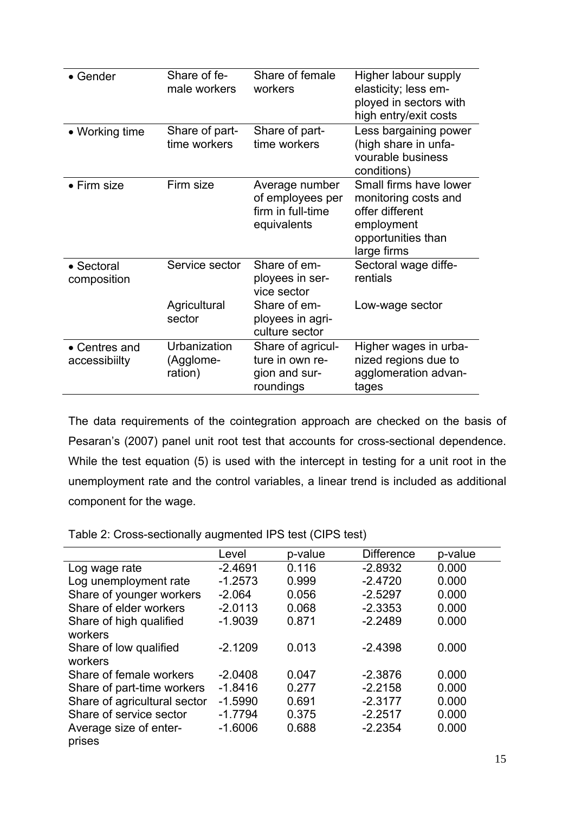| $\bullet$ Gender                       | Share of fe-<br>male workers         | Share of female<br>workers                                             | Higher labour supply<br>elasticity; less em-<br>ployed in sectors with<br>high entry/exit costs                      |
|----------------------------------------|--------------------------------------|------------------------------------------------------------------------|----------------------------------------------------------------------------------------------------------------------|
| • Working time                         | Share of part-<br>time workers       | Share of part-<br>time workers                                         | Less bargaining power<br>(high share in unfa-<br>vourable business<br>conditions)                                    |
| • Firm size                            | Firm size                            | Average number<br>of employees per<br>firm in full-time<br>equivalents | Small firms have lower<br>monitoring costs and<br>offer different<br>employment<br>opportunities than<br>large firms |
| • Sectoral<br>composition              | Service sector                       | Share of em-<br>ployees in ser-<br>vice sector<br>Share of em-         | Sectoral wage diffe-<br>rentials                                                                                     |
|                                        | Agricultural<br>sector               | ployees in agri-<br>culture sector                                     | Low-wage sector                                                                                                      |
| $\bullet$ Centres and<br>accessibiilty | Urbanization<br>(Agglome-<br>ration) | Share of agricul-<br>ture in own re-<br>gion and sur-<br>roundings     | Higher wages in urba-<br>nized regions due to<br>agglomeration advan-<br>tages                                       |

The data requirements of the cointegration approach are checked on the basis of Pesaran's (2007) panel unit root test that accounts for cross-sectional dependence. While the test equation (5) is used with the intercept in testing for a unit root in the unemployment rate and the control variables, a linear trend is included as additional component for the wage.

|                                    | Level     | p-value | <b>Difference</b> | p-value |
|------------------------------------|-----------|---------|-------------------|---------|
| Log wage rate                      | $-2.4691$ | 0.116   | $-2.8932$         | 0.000   |
| Log unemployment rate              | $-1.2573$ | 0.999   | $-2.4720$         | 0.000   |
| Share of younger workers           | $-2.064$  | 0.056   | $-2.5297$         | 0.000   |
| Share of elder workers             | $-2.0113$ | 0.068   | $-2.3353$         | 0.000   |
| Share of high qualified<br>workers | $-1.9039$ | 0.871   | $-2.2489$         | 0.000   |
| Share of low qualified<br>workers  | $-2.1209$ | 0.013   | $-2.4398$         | 0.000   |
| Share of female workers            | $-2.0408$ | 0.047   | $-2.3876$         | 0.000   |
| Share of part-time workers         | $-1.8416$ | 0.277   | $-2.2158$         | 0.000   |
| Share of agricultural sector       | $-1.5990$ | 0.691   | $-2.3177$         | 0.000   |
| Share of service sector            | $-1.7794$ | 0.375   | $-2.2517$         | 0.000   |
| Average size of enter-<br>prises   | $-1.6006$ | 0.688   | $-2.2354$         | 0.000   |
|                                    |           |         |                   |         |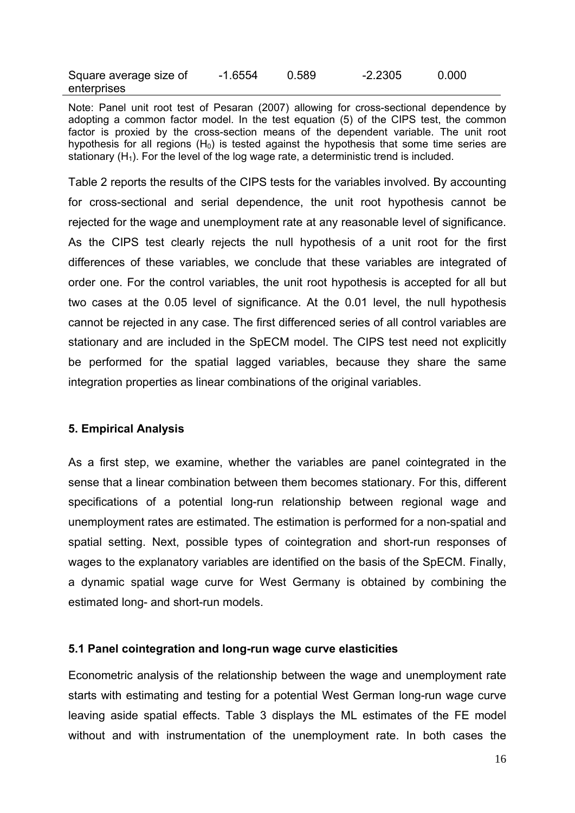| Square average size of | $-1.6554$ | 0.589 | $-2.2305$ | 0.000 |
|------------------------|-----------|-------|-----------|-------|
| enterprises            |           |       |           |       |

Note: Panel unit root test of Pesaran (2007) allowing for cross-sectional dependence by adopting a common factor model. In the test equation (5) of the CIPS test, the common factor is proxied by the cross-section means of the dependent variable. The unit root hypothesis for all regions  $(H<sub>0</sub>)$  is tested against the hypothesis that some time series are stationary  $(H_1)$ . For the level of the log wage rate, a deterministic trend is included.

Table 2 reports the results of the CIPS tests for the variables involved. By accounting for cross-sectional and serial dependence, the unit root hypothesis cannot be rejected for the wage and unemployment rate at any reasonable level of significance. As the CIPS test clearly rejects the null hypothesis of a unit root for the first differences of these variables, we conclude that these variables are integrated of order one. For the control variables, the unit root hypothesis is accepted for all but two cases at the 0.05 level of significance. At the 0.01 level, the null hypothesis cannot be rejected in any case. The first differenced series of all control variables are stationary and are included in the SpECM model. The CIPS test need not explicitly be performed for the spatial lagged variables, because they share the same integration properties as linear combinations of the original variables.

#### **5. Empirical Analysis**

As a first step, we examine, whether the variables are panel cointegrated in the sense that a linear combination between them becomes stationary. For this, different specifications of a potential long-run relationship between regional wage and unemployment rates are estimated. The estimation is performed for a non-spatial and spatial setting. Next, possible types of cointegration and short-run responses of wages to the explanatory variables are identified on the basis of the SpECM. Finally, a dynamic spatial wage curve for West Germany is obtained by combining the estimated long- and short-run models.

#### **5.1 Panel cointegration and long-run wage curve elasticities**

Econometric analysis of the relationship between the wage and unemployment rate starts with estimating and testing for a potential West German long-run wage curve leaving aside spatial effects. Table 3 displays the ML estimates of the FE model without and with instrumentation of the unemployment rate. In both cases the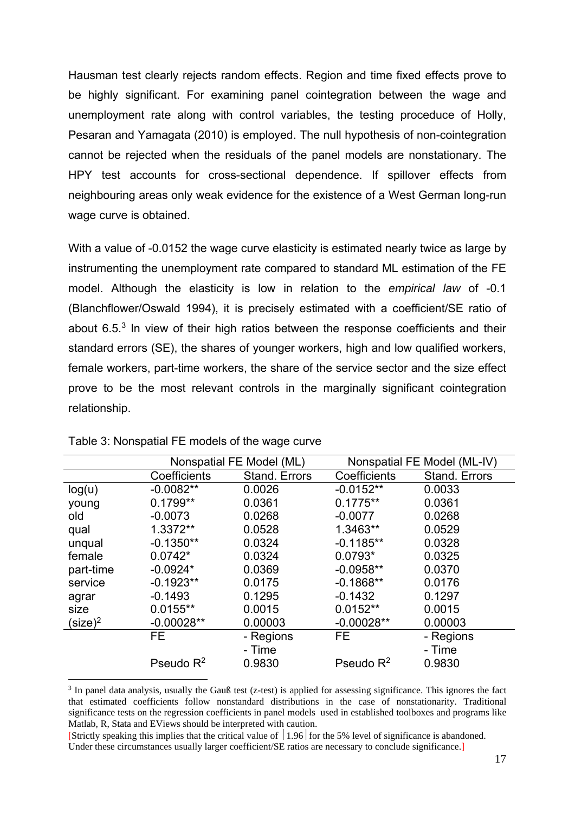Hausman test clearly rejects random effects. Region and time fixed effects prove to be highly significant. For examining panel cointegration between the wage and unemployment rate along with control variables, the testing proceduce of Holly, Pesaran and Yamagata (2010) is employed. The null hypothesis of non-cointegration cannot be rejected when the residuals of the panel models are nonstationary. The HPY test accounts for cross-sectional dependence. If spillover effects from neighbouring areas only weak evidence for the existence of a West German long-run wage curve is obtained.

With a value of -0.0152 the wage curve elasticity is estimated nearly twice as large by instrumenting the unemployment rate compared to standard ML estimation of the FE model. Although the elasticity is low in relation to the *empirical law* of -0.1 (Blanchflower/Oswald 1994), it is precisely estimated with a coefficient/SE ratio of about 6.5.3 In view of their high ratios between the response coefficients and their standard errors (SE), the shares of younger workers, high and low qualified workers, female workers, part-time workers, the share of the service sector and the size effect prove to be the most relevant controls in the marginally significant cointegration relationship.

| Nonspatial FE Model (ML) |               | Nonspatial FE Model (ML-IV) |               |
|--------------------------|---------------|-----------------------------|---------------|
| Coefficients             | Stand. Errors | Coefficients                | Stand. Errors |
| $-0.0082**$              | 0.0026        | $-0.0152**$                 | 0.0033        |
| $0.1799**$               | 0.0361        | $0.1775**$                  | 0.0361        |
| $-0.0073$                | 0.0268        | $-0.0077$                   | 0.0268        |
| 1.3372**                 | 0.0528        | 1.3463**                    | 0.0529        |
| $-0.1350**$              | 0.0324        | $-0.1185**$                 | 0.0328        |
| $0.0742*$                | 0.0324        | $0.0793*$                   | 0.0325        |
| $-0.0924*$               | 0.0369        | $-0.0958**$                 | 0.0370        |
| $-0.1923**$              | 0.0175        | $-0.1868**$                 | 0.0176        |
| $-0.1493$                | 0.1295        | $-0.1432$                   | 0.1297        |
| $0.0155**$               | 0.0015        | $0.0152**$                  | 0.0015        |
| $-0.00028**$             | 0.00003       | $-0.00028**$                | 0.00003       |
| FE.                      | - Regions     | <b>FE</b>                   | - Regions     |
|                          | - Time        |                             | - Time        |
| Pseudo $R^2$             | 0.9830        | Pseudo $R^2$                | 0.9830        |
|                          |               |                             |               |

#### Table 3: Nonspatial FE models of the wage curve

1

<sup>&</sup>lt;sup>3</sup> In panel data analysis, usually the Gauß test (z-test) is applied for assessing significance. This ignores the fact that estimated coefficients follow nonstandard distributions in the case of nonstationarity. Traditional significance tests on the regression coefficients in panel models used in established toolboxes and programs like Matlab, R, Stata and EViews should be interpreted with caution.

<sup>[</sup>Strictly speaking this implies that the critical value of  $\vert 1.96 \vert$  for the 5% level of significance is abandoned. Under these circumstances usually larger coefficient/SE ratios are necessary to conclude significance.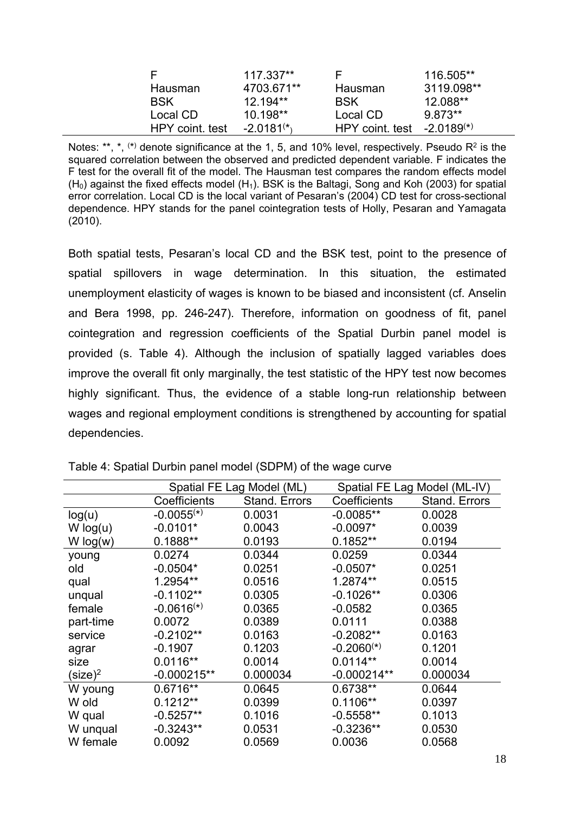| E               | 117.337**       | E              | 116.505**       |
|-----------------|-----------------|----------------|-----------------|
| Hausman         | 4703.671**      | Hausman        | 3119.098**      |
| <b>BSK</b>      | $12.194**$      | <b>BSK</b>     | 12.088**        |
| Local CD        | $10.198**$      | Local CD       | $9.873**$       |
| HPY coint. test | $-2.0181^{(*)}$ | HPY coint test | $-2.0189^{(*)}$ |

Notes: \*\*,  $\star$ ,  $\star$ ,  $\star$ ) denote significance at the 1, 5, and 10% level, respectively. Pseudo R<sup>2</sup> is the squared correlation between the observed and predicted dependent variable. F indicates the F test for the overall fit of the model. The Hausman test compares the random effects model  $(H<sub>0</sub>)$  against the fixed effects model  $(H<sub>1</sub>)$ . BSK is the Baltagi, Song and Koh (2003) for spatial error correlation. Local CD is the local variant of Pesaran's (2004) CD test for cross-sectional dependence. HPY stands for the panel cointegration tests of Holly, Pesaran and Yamagata (2010).

Both spatial tests, Pesaran's local CD and the BSK test, point to the presence of spatial spillovers in wage determination. In this situation, the estimated unemployment elasticity of wages is known to be biased and inconsistent (cf. Anselin and Bera 1998, pp. 246-247). Therefore, information on goodness of fit, panel cointegration and regression coefficients of the Spatial Durbin panel model is provided (s. Table 4). Although the inclusion of spatially lagged variables does improve the overall fit only marginally, the test statistic of the HPY test now becomes highly significant. Thus, the evidence of a stable long-run relationship between wages and regional employment conditions is strengthened by accounting for spatial dependencies.

|                     | Spatial FE Lag Model (ML) |                      | Spatial FE Lag Model (ML-IV) |                      |
|---------------------|---------------------------|----------------------|------------------------------|----------------------|
|                     | Coefficients              | <b>Stand. Errors</b> | Coefficients                 | <b>Stand. Errors</b> |
| log(u)              | $-0.0055(*)$              | 0.0031               | $-0.0085**$                  | 0.0028               |
| W log(u)            | $-0.0101*$                | 0.0043               | $-0.0097*$                   | 0.0039               |
| W log(w)            | $0.1888**$                | 0.0193               | $0.1852**$                   | 0.0194               |
| young               | 0.0274                    | 0.0344               | 0.0259                       | 0.0344               |
| old                 | $-0.0504*$                | 0.0251               | $-0.0507*$                   | 0.0251               |
| qual                | 1.2954**                  | 0.0516               | 1.2874**                     | 0.0515               |
| unqual              | $-0.1102**$               | 0.0305               | $-0.1026**$                  | 0.0306               |
| female              | $-0.0616(*)$              | 0.0365               | $-0.0582$                    | 0.0365               |
| part-time           | 0.0072                    | 0.0389               | 0.0111                       | 0.0388               |
| service             | $-0.2102**$               | 0.0163               | $-0.2082**$                  | 0.0163               |
| agrar               | $-0.1907$                 | 0.1203               | $-0.2060(*)$                 | 0.1201               |
| size                | $0.0116**$                | 0.0014               | $0.0114**$                   | 0.0014               |
| (size) <sup>2</sup> | $-0.000215**$             | 0.000034             | $-0.000214**$                | 0.000034             |
| W young             | $0.6716**$                | 0.0645               | 0.6738**                     | 0.0644               |
| W old               | $0.1212**$                | 0.0399               | $0.1106**$                   | 0.0397               |
| W qual              | $-0.5257**$               | 0.1016               | $-0.5558**$                  | 0.1013               |
| W unqual            | $-0.3243**$               | 0.0531               | $-0.3236**$                  | 0.0530               |
| W female            | 0.0092                    | 0.0569               | 0.0036                       | 0.0568               |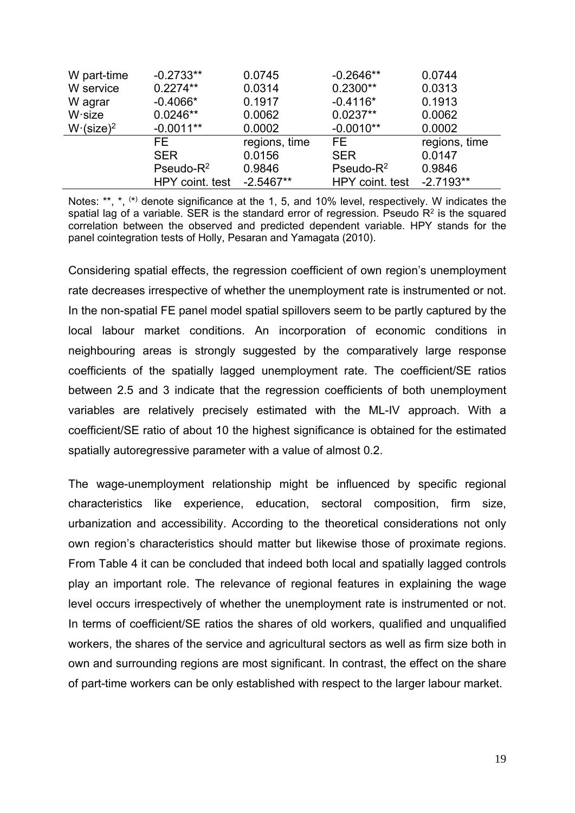| W part-time             | $-0.2733**$     | 0.0745        | $-0.2646**$     | 0.0744        |
|-------------------------|-----------------|---------------|-----------------|---------------|
| W service               | $0.2274**$      | 0.0314        | $0.2300**$      | 0.0313        |
| W agrar                 | $-0.4066*$      | 0.1917        | $-0.4116*$      | 0.1913        |
| $W$ size                | $0.0246**$      | 0.0062        | $0.0237**$      | 0.0062        |
| $W$ (size) <sup>2</sup> | $-0.0011**$     | 0.0002        | $-0.0010**$     | 0.0002        |
|                         | FE.             | regions, time | FE.             | regions, time |
|                         | <b>SER</b>      | 0.0156        | <b>SER</b>      | 0.0147        |
|                         | Pseudo- $R^2$   | 0.9846        | $Pseudo-R2$     | 0.9846        |
|                         | HPY coint. test | $-2.5467**$   | HPY coint. test | $-2.7193**$   |

Notes: \*\*, \*, (\*) denote significance at the 1, 5, and 10% level, respectively. W indicates the spatial lag of a variable. SER is the standard error of regression. Pseudo  $R<sup>2</sup>$  is the squared correlation between the observed and predicted dependent variable. HPY stands for the panel cointegration tests of Holly, Pesaran and Yamagata (2010).

Considering spatial effects, the regression coefficient of own region's unemployment rate decreases irrespective of whether the unemployment rate is instrumented or not. In the non-spatial FE panel model spatial spillovers seem to be partly captured by the local labour market conditions. An incorporation of economic conditions in neighbouring areas is strongly suggested by the comparatively large response coefficients of the spatially lagged unemployment rate. The coefficient/SE ratios between 2.5 and 3 indicate that the regression coefficients of both unemployment variables are relatively precisely estimated with the ML-IV approach. With a coefficient/SE ratio of about 10 the highest significance is obtained for the estimated spatially autoregressive parameter with a value of almost 0.2.

The wage-unemployment relationship might be influenced by specific regional characteristics like experience, education, sectoral composition, firm size, urbanization and accessibility. According to the theoretical considerations not only own region's characteristics should matter but likewise those of proximate regions. From Table 4 it can be concluded that indeed both local and spatially lagged controls play an important role. The relevance of regional features in explaining the wage level occurs irrespectively of whether the unemployment rate is instrumented or not. In terms of coefficient/SE ratios the shares of old workers, qualified and unqualified workers, the shares of the service and agricultural sectors as well as firm size both in own and surrounding regions are most significant. In contrast, the effect on the share of part-time workers can be only established with respect to the larger labour market.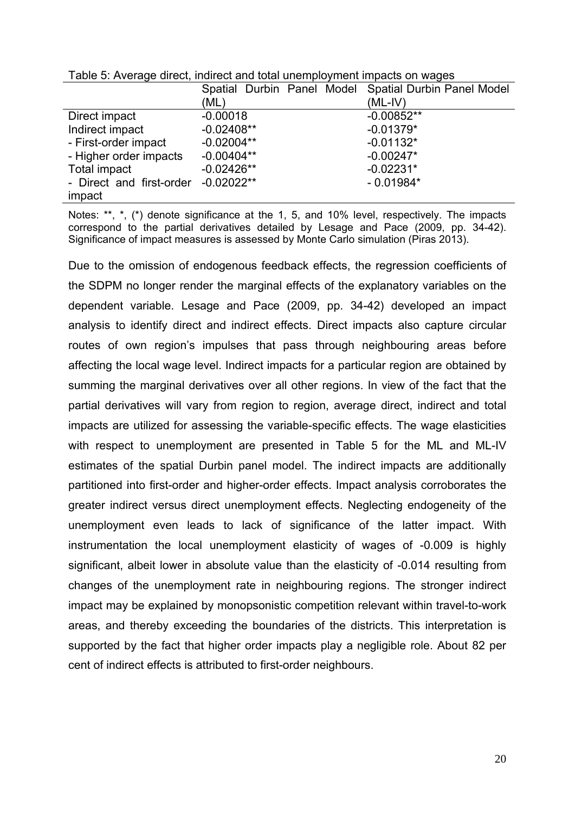|                          | Spatial Durbin Panel Model Spatial Durbin Panel Model |              |
|--------------------------|-------------------------------------------------------|--------------|
|                          | (ML)                                                  | $(ML-IV)$    |
| Direct impact            | $-0.00018$                                            | $-0.00852**$ |
| Indirect impact          | $-0.02408**$                                          | $-0.01379*$  |
| - First-order impact     | $-0.02004**$                                          | $-0.01132*$  |
| - Higher order impacts   | $-0.00404**$                                          | $-0.00247*$  |
| Total impact             | $-0.02426**$                                          | $-0.02231*$  |
| - Direct and first-order | $-0.02022**$                                          | $-0.01984*$  |
| impact                   |                                                       |              |

Table 5: Average direct, indirect and total unemployment impacts on wages

Notes: \*\*, \*, (\*) denote significance at the 1, 5, and 10% level, respectively. The impacts correspond to the partial derivatives detailed by Lesage and Pace (2009, pp. 34-42). Significance of impact measures is assessed by Monte Carlo simulation (Piras 2013).

Due to the omission of endogenous feedback effects, the regression coefficients of the SDPM no longer render the marginal effects of the explanatory variables on the dependent variable. Lesage and Pace (2009, pp. 34-42) developed an impact analysis to identify direct and indirect effects. Direct impacts also capture circular routes of own region's impulses that pass through neighbouring areas before affecting the local wage level. Indirect impacts for a particular region are obtained by summing the marginal derivatives over all other regions. In view of the fact that the partial derivatives will vary from region to region, average direct, indirect and total impacts are utilized for assessing the variable-specific effects. The wage elasticities with respect to unemployment are presented in Table 5 for the ML and ML-IV estimates of the spatial Durbin panel model. The indirect impacts are additionally partitioned into first-order and higher-order effects. Impact analysis corroborates the greater indirect versus direct unemployment effects. Neglecting endogeneity of the unemployment even leads to lack of significance of the latter impact. With instrumentation the local unemployment elasticity of wages of -0.009 is highly significant, albeit lower in absolute value than the elasticity of -0.014 resulting from changes of the unemployment rate in neighbouring regions. The stronger indirect impact may be explained by monopsonistic competition relevant within travel-to-work areas, and thereby exceeding the boundaries of the districts. This interpretation is supported by the fact that higher order impacts play a negligible role. About 82 per cent of indirect effects is attributed to first-order neighbours.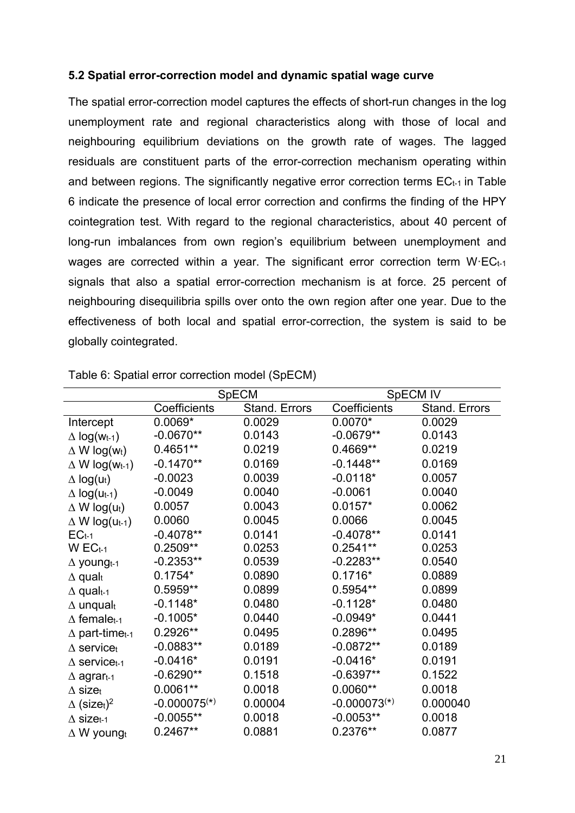#### **5.2 Spatial error-correction model and dynamic spatial wage curve**

The spatial error-correction model captures the effects of short-run changes in the log unemployment rate and regional characteristics along with those of local and neighbouring equilibrium deviations on the growth rate of wages. The lagged residuals are constituent parts of the error-correction mechanism operating within and between regions. The significantly negative error correction terms  $EC_{t-1}$  in Table 6 indicate the presence of local error correction and confirms the finding of the HPY cointegration test. With regard to the regional characteristics, about 40 percent of long-run imbalances from own region's equilibrium between unemployment and wages are corrected within a year. The significant error correction term W·ECt-1 signals that also a spatial error-correction mechanism is at force. 25 percent of neighbouring disequilibria spills over onto the own region after one year. Due to the effectiveness of both local and spatial error-correction, the system is said to be globally cointegrated.

|                                            | <b>SpECM</b>               |               | SpECM IV       |               |
|--------------------------------------------|----------------------------|---------------|----------------|---------------|
|                                            | Coefficients               | Stand. Errors | Coefficients   | Stand. Errors |
| Intercept                                  | $0.0069*$                  | 0.0029        | $0.0070*$      | 0.0029        |
| $\Delta$ log(Wt-1)                         | $-0.0670**$                | 0.0143        | $-0.0679**$    | 0.0143        |
| $\Delta$ W log(wt)                         | $0.4651**$                 | 0.0219        | 0.4669**       | 0.0219        |
| $\Delta$ W log(w <sub>t-1</sub> )          | $-0.1470**$                | 0.0169        | $-0.1448**$    | 0.0169        |
| $\Delta$ log(u <sub>t</sub> )              | $-0.0023$                  | 0.0039        | $-0.0118*$     | 0.0057        |
| $\Delta$ log(u <sub>t-1</sub> )            | $-0.0049$                  | 0.0040        | $-0.0061$      | 0.0040        |
| $\Delta$ W log(ut)                         | 0.0057                     | 0.0043        | $0.0157*$      | 0.0062        |
| $\Delta$ W log(u <sub>t-1</sub> )          | 0.0060                     | 0.0045        | 0.0066         | 0.0045        |
| $EC_{t-1}$                                 | $-0.4078**$                | 0.0141        | $-0.4078**$    | 0.0141        |
| $W$ EC <sub>t-1</sub>                      | $0.2509**$                 | 0.0253        | $0.2541**$     | 0.0253        |
| $\Delta$ young <sub>t-1</sub>              | $-0.2353**$                | 0.0539        | $-0.2283**$    | 0.0540        |
| $\Delta$ qualt                             | $0.1754*$                  | 0.0890        | $0.1716*$      | 0.0889        |
| $\Delta$ qualt-1                           | 0.5959**                   | 0.0899        | 0.5954**       | 0.0899        |
| $\Delta$ unqualt                           | $-0.1148*$                 | 0.0480        | $-0.1128*$     | 0.0480        |
| $\Delta$ female <sub>t-1</sub>             | $-0.1005*$                 | 0.0440        | $-0.0949*$     | 0.0441        |
| $\Delta$ part-time <sub>t-1</sub>          | $0.2926**$                 | 0.0495        | 0.2896**       | 0.0495        |
| $\Delta$ servicet                          | $-0.0883**$                | 0.0189        | $-0.0872**$    | 0.0189        |
| $\Delta$ service <sub>t-1</sub>            | $-0.0416*$                 | 0.0191        | $-0.0416*$     | 0.0191        |
| $\Delta$ agrar <sub>t-1</sub>              | $-0.6290**$                | 0.1518        | $-0.6397**$    | 0.1522        |
| $\Delta$ sizet                             | $0.0061**$                 | 0.0018        | $0.0060**$     | 0.0018        |
| $\Delta$ (size <sub>t</sub> ) <sup>2</sup> | $-0.000075$ <sup>(*)</sup> | 0.00004       | $-0.000073(*)$ | 0.000040      |
| $\Delta$ size <sub>t-1</sub>               | $-0.0055**$                | 0.0018        | $-0.0053**$    | 0.0018        |
| $\Delta$ W youngt                          | $0.2467**$                 | 0.0881        | 0.2376**       | 0.0877        |

Table 6: Spatial error correction model (SpECM)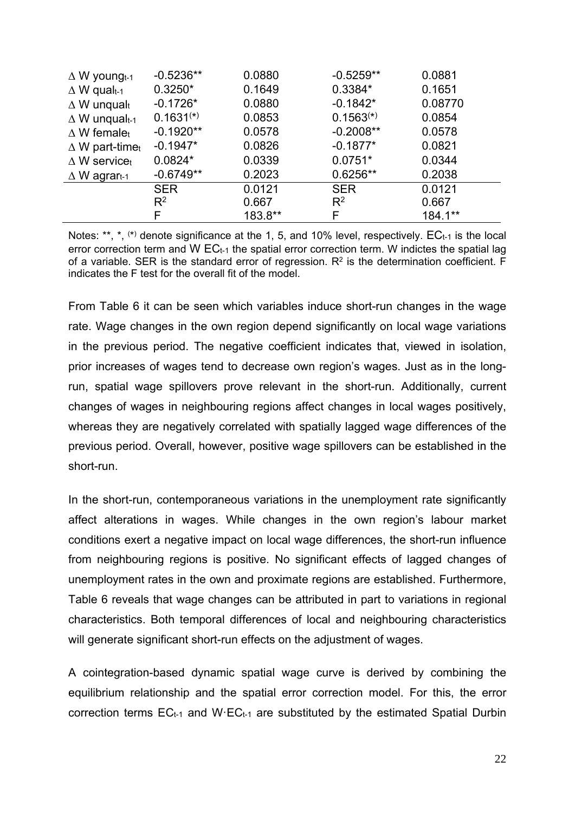| $\Delta$ W youngt-1             | $-0.5236**$    | 0.0880  | $-0.5259**$    | 0.0881  |
|---------------------------------|----------------|---------|----------------|---------|
| $\Delta$ W qual <sub>t-1</sub>  | $0.3250*$      | 0.1649  | 0.3384*        | 0.1651  |
| $\Delta$ W unqualt              | $-0.1726*$     | 0.0880  | $-0.1842*$     | 0.08770 |
| $\Delta$ W unqualt-1            | $0.1631^{(*)}$ | 0.0853  | $0.1563^{(*)}$ | 0.0854  |
| $\Delta$ W femalet              | $-0.1920**$    | 0.0578  | $-0.2008**$    | 0.0578  |
| $\Delta$ W part-timet           | $-0.1947*$     | 0.0826  | $-0.1877*$     | 0.0821  |
| $\Delta$ W service <sub>t</sub> | $0.0824*$      | 0.0339  | $0.0751*$      | 0.0344  |
| $\Delta$ W agrart-1             | $-0.6749**$    | 0.2023  | $0.6256**$     | 0.2038  |
|                                 | <b>SER</b>     | 0.0121  | <b>SER</b>     | 0.0121  |
|                                 | $R^2$          | 0.667   | $R^2$          | 0.667   |
|                                 | F              | 183.8** | F              | 184.1** |

Notes: \*\*,  $\star$ ,  $\star$ ,  $\star$ ) denote significance at the 1, 5, and 10% level, respectively.  $EC_{t-1}$  is the local error correction term and W  $EC_{t-1}$  the spatial error correction term. W indictes the spatial lag of a variable. SER is the standard error of regression.  $R<sup>2</sup>$  is the determination coefficient. F indicates the F test for the overall fit of the model.

From Table 6 it can be seen which variables induce short-run changes in the wage rate. Wage changes in the own region depend significantly on local wage variations in the previous period. The negative coefficient indicates that, viewed in isolation, prior increases of wages tend to decrease own region's wages. Just as in the longrun, spatial wage spillovers prove relevant in the short-run. Additionally, current changes of wages in neighbouring regions affect changes in local wages positively, whereas they are negatively correlated with spatially lagged wage differences of the previous period. Overall, however, positive wage spillovers can be established in the short-run.

In the short-run, contemporaneous variations in the unemployment rate significantly affect alterations in wages. While changes in the own region's labour market conditions exert a negative impact on local wage differences, the short-run influence from neighbouring regions is positive. No significant effects of lagged changes of unemployment rates in the own and proximate regions are established. Furthermore, Table 6 reveals that wage changes can be attributed in part to variations in regional characteristics. Both temporal differences of local and neighbouring characteristics will generate significant short-run effects on the adjustment of wages.

A cointegration-based dynamic spatial wage curve is derived by combining the equilibrium relationship and the spatial error correction model. For this, the error correction terms  $EC_{t-1}$  and W $EC_{t-1}$  are substituted by the estimated Spatial Durbin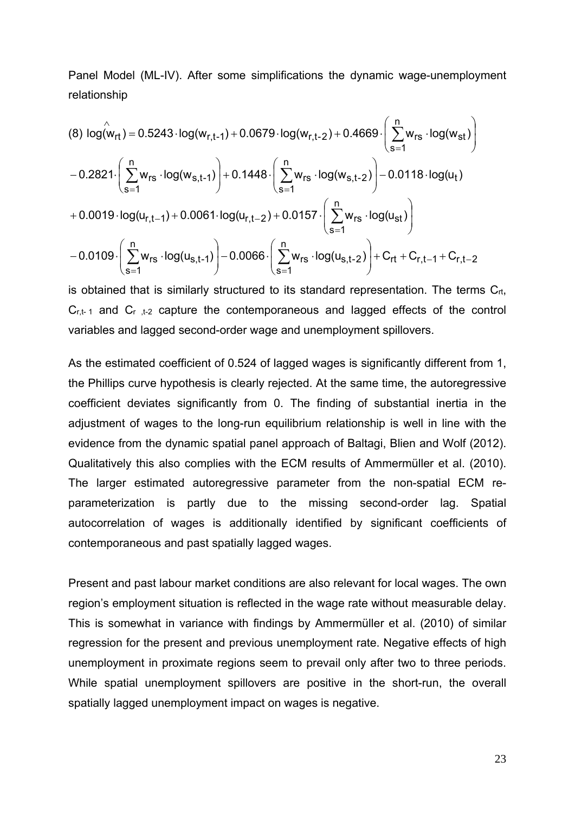Panel Model (ML-IV). After some simplifications the dynamic wage-unemployment relationship

$$
(8) log(w_{rt}) = 0.5243 \cdot log(w_{r,t-1}) + 0.0679 \cdot log(w_{r,t-2}) + 0.4669 \cdot \left(\sum_{s=1}^{n} w_{rs} \cdot log(w_{st})\right) - 0.2821 \cdot \left(\sum_{s=1}^{n} w_{rs} \cdot log(w_{s,t-1})\right) + 0.1448 \cdot \left(\sum_{s=1}^{n} w_{rs} \cdot log(w_{s,t-2})\right) - 0.0118 \cdot log(u_{t}) + 0.0019 \cdot log(u_{r,t-1}) + 0.0061 \cdot log(u_{r,t-2}) + 0.0157 \cdot \left(\sum_{s=1}^{n} w_{rs} \cdot log(u_{st})\right) - 0.0109 \cdot \left(\sum_{s=1}^{n} w_{rs} \cdot log(u_{s,t-1})\right) - 0.0066 \cdot \left(\sum_{s=1}^{n} w_{rs} \cdot log(u_{s,t-2})\right) + C_{rt} + C_{r,t-1} + C_{r,t-2}
$$

is obtained that is similarly structured to its standard representation. The terms  $C_{rt}$ ,  $C_{r,t-1}$  and  $C_{r,t-2}$  capture the contemporaneous and lagged effects of the control variables and lagged second-order wage and unemployment spillovers.

As the estimated coefficient of 0.524 of lagged wages is significantly different from 1, the Phillips curve hypothesis is clearly rejected. At the same time, the autoregressive coefficient deviates significantly from 0. The finding of substantial inertia in the adjustment of wages to the long-run equilibrium relationship is well in line with the evidence from the dynamic spatial panel approach of Baltagi, Blien and Wolf (2012). Qualitatively this also complies with the ECM results of Ammermüller et al. (2010). The larger estimated autoregressive parameter from the non-spatial ECM reparameterization is partly due to the missing second-order lag. Spatial autocorrelation of wages is additionally identified by significant coefficients of contemporaneous and past spatially lagged wages.

Present and past labour market conditions are also relevant for local wages. The own region's employment situation is reflected in the wage rate without measurable delay. This is somewhat in variance with findings by Ammermüller et al. (2010) of similar regression for the present and previous unemployment rate. Negative effects of high unemployment in proximate regions seem to prevail only after two to three periods. While spatial unemployment spillovers are positive in the short-run, the overall spatially lagged unemployment impact on wages is negative.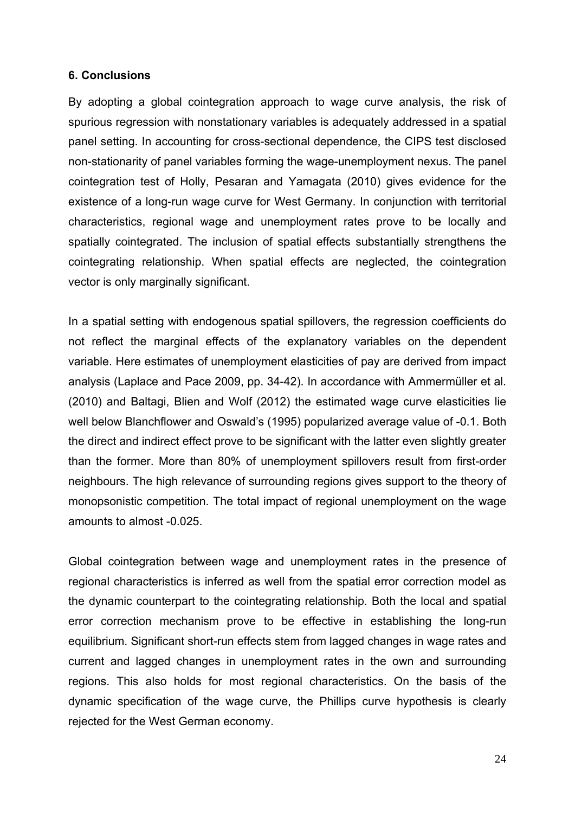#### **6. Conclusions**

By adopting a global cointegration approach to wage curve analysis, the risk of spurious regression with nonstationary variables is adequately addressed in a spatial panel setting. In accounting for cross-sectional dependence, the CIPS test disclosed non-stationarity of panel variables forming the wage-unemployment nexus. The panel cointegration test of Holly, Pesaran and Yamagata (2010) gives evidence for the existence of a long-run wage curve for West Germany. In conjunction with territorial characteristics, regional wage and unemployment rates prove to be locally and spatially cointegrated. The inclusion of spatial effects substantially strengthens the cointegrating relationship. When spatial effects are neglected, the cointegration vector is only marginally significant.

In a spatial setting with endogenous spatial spillovers, the regression coefficients do not reflect the marginal effects of the explanatory variables on the dependent variable. Here estimates of unemployment elasticities of pay are derived from impact analysis (Laplace and Pace 2009, pp. 34-42). In accordance with Ammermüller et al. (2010) and Baltagi, Blien and Wolf (2012) the estimated wage curve elasticities lie well below Blanchflower and Oswald's (1995) popularized average value of -0.1. Both the direct and indirect effect prove to be significant with the latter even slightly greater than the former. More than 80% of unemployment spillovers result from first-order neighbours. The high relevance of surrounding regions gives support to the theory of monopsonistic competition. The total impact of regional unemployment on the wage amounts to almost -0.025.

Global cointegration between wage and unemployment rates in the presence of regional characteristics is inferred as well from the spatial error correction model as the dynamic counterpart to the cointegrating relationship. Both the local and spatial error correction mechanism prove to be effective in establishing the long-run equilibrium. Significant short-run effects stem from lagged changes in wage rates and current and lagged changes in unemployment rates in the own and surrounding regions. This also holds for most regional characteristics. On the basis of the dynamic specification of the wage curve, the Phillips curve hypothesis is clearly rejected for the West German economy.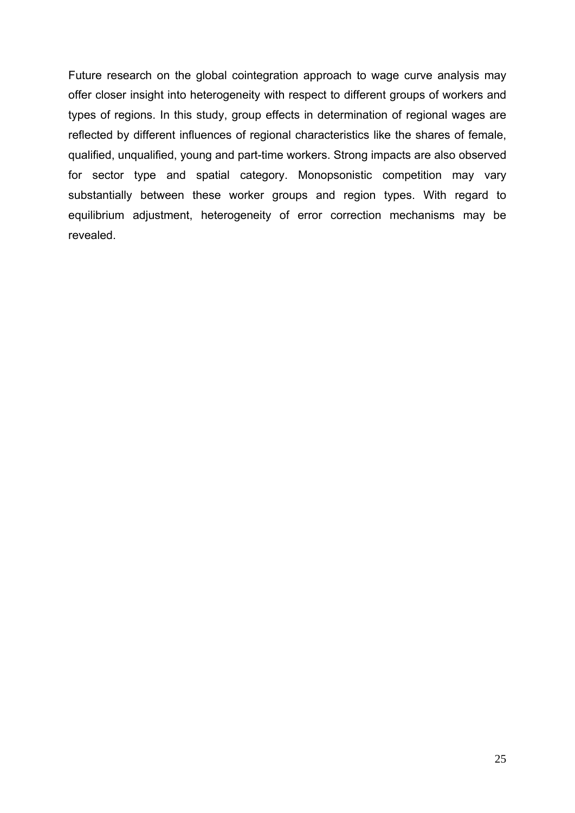Future research on the global cointegration approach to wage curve analysis may offer closer insight into heterogeneity with respect to different groups of workers and types of regions. In this study, group effects in determination of regional wages are reflected by different influences of regional characteristics like the shares of female, qualified, unqualified, young and part-time workers. Strong impacts are also observed for sector type and spatial category. Monopsonistic competition may vary substantially between these worker groups and region types. With regard to equilibrium adjustment, heterogeneity of error correction mechanisms may be revealed.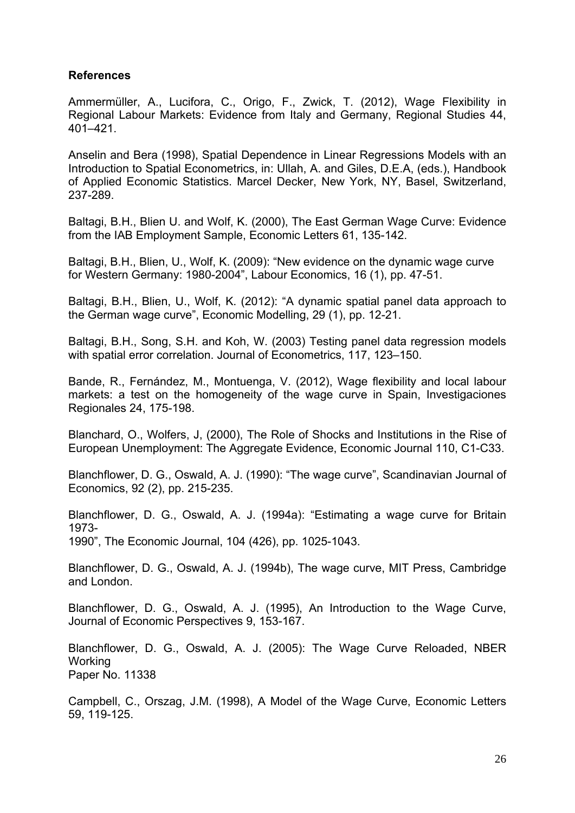#### **References**

Ammermüller, A., Lucifora, C., Origo, F., Zwick, T. (2012), Wage Flexibility in Regional Labour Markets: Evidence from Italy and Germany, Regional Studies 44, 401–421.

Anselin and Bera (1998), Spatial Dependence in Linear Regressions Models with an Introduction to Spatial Econometrics, in: Ullah, A. and Giles, D.E.A, (eds.), Handbook of Applied Economic Statistics. Marcel Decker, New York, NY, Basel, Switzerland, 237-289.

Baltagi, B.H., Blien U. and Wolf, K. (2000), The East German Wage Curve: Evidence from the IAB Employment Sample, Economic Letters 61, 135-142.

Baltagi, B.H., Blien, U., Wolf, K. (2009): "New evidence on the dynamic wage curve for Western Germany: 1980-2004", Labour Economics, 16 (1), pp. 47-51.

Baltagi, B.H., Blien, U., Wolf, K. (2012): "A dynamic spatial panel data approach to the German wage curve", Economic Modelling, 29 (1), pp. 12-21.

Baltagi, B.H., Song, S.H. and Koh, W. (2003) Testing panel data regression models with spatial error correlation. Journal of Econometrics, 117, 123–150.

Bande, R., Fernández, M., Montuenga, V. (2012), Wage flexibility and local labour markets: a test on the homogeneity of the wage curve in Spain, Investigaciones Regionales 24, 175-198.

Blanchard, O., Wolfers, J, (2000), The Role of Shocks and Institutions in the Rise of European Unemployment: The Aggregate Evidence, Economic Journal 110, C1-C33.

Blanchflower, D. G., Oswald, A. J. (1990): "The wage curve", Scandinavian Journal of Economics, 92 (2), pp. 215-235.

Blanchflower, D. G., Oswald, A. J. (1994a): "Estimating a wage curve for Britain 1973-

1990", The Economic Journal, 104 (426), pp. 1025-1043.

Blanchflower, D. G., Oswald, A. J. (1994b), The wage curve, MIT Press, Cambridge and London.

Blanchflower, D. G., Oswald, A. J. (1995), An Introduction to the Wage Curve, Journal of Economic Perspectives 9, 153-167.

Blanchflower, D. G., Oswald, A. J. (2005): The Wage Curve Reloaded, NBER **Working** Paper No. 11338

Campbell, C., Orszag, J.M. (1998), A Model of the Wage Curve, Economic Letters 59, 119-125.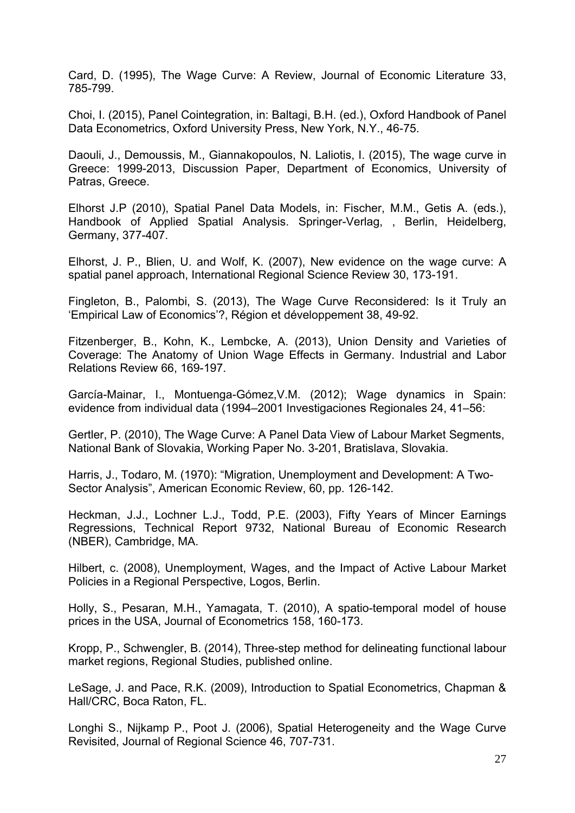Card, D. (1995), The Wage Curve: A Review, Journal of Economic Literature 33, 785-799.

Choi, I. (2015), Panel Cointegration, in: Baltagi, B.H. (ed.), Oxford Handbook of Panel Data Econometrics, Oxford University Press, New York, N.Y., 46-75.

Daouli, J., Demoussis, M., Giannakopoulos, N. Laliotis, I. (2015), The wage curve in Greece: 1999-2013, Discussion Paper, Department of Economics, University of Patras, Greece.

Elhorst J.P (2010), Spatial Panel Data Models, in: Fischer, M.M., Getis A. (eds.), Handbook of Applied Spatial Analysis. Springer-Verlag, , Berlin, Heidelberg, Germany, 377-407.

Elhorst, J. P., Blien, U. and Wolf, K. (2007), New evidence on the wage curve: A spatial panel approach, International Regional Science Review 30, 173-191.

Fingleton, B., Palombi, S. (2013), The Wage Curve Reconsidered: Is it Truly an 'Empirical Law of Economics'?, Région et développement 38, 49-92.

Fitzenberger, B., Kohn, K., Lembcke, A. (2013), Union Density and Varieties of Coverage: The Anatomy of Union Wage Effects in Germany. Industrial and Labor Relations Review 66, 169-197.

García-Mainar, I., Montuenga-Gómez,V.M. (2012); Wage dynamics in Spain: evidence from individual data (1994–2001 Investigaciones Regionales 24, 41–56:

Gertler, P. (2010), The Wage Curve: A Panel Data View of Labour Market Segments, National Bank of Slovakia, Working Paper No. 3-201, Bratislava, Slovakia.

Harris, J., Todaro, M. (1970): "Migration, Unemployment and Development: A Two-Sector Analysis", American Economic Review, 60, pp. 126-142.

Heckman, J.J., Lochner L.J., Todd, P.E. (2003), Fifty Years of Mincer Earnings Regressions, Technical Report 9732, National Bureau of Economic Research (NBER), Cambridge, MA.

Hilbert, c. (2008), Unemployment, Wages, and the Impact of Active Labour Market Policies in a Regional Perspective, Logos, Berlin.

Holly, S., Pesaran, M.H., Yamagata, T. (2010), A spatio-temporal model of house prices in the USA, Journal of Econometrics 158, 160-173.

Kropp, P., Schwengler, B. (2014), Three-step method for delineating functional labour market regions, Regional Studies, published online.

LeSage, J. and Pace, R.K. (2009), Introduction to Spatial Econometrics, Chapman & Hall/CRC, Boca Raton, FL.

Longhi S., Nijkamp P., Poot J. (2006), Spatial Heterogeneity and the Wage Curve Revisited, Journal of Regional Science 46, 707-731.